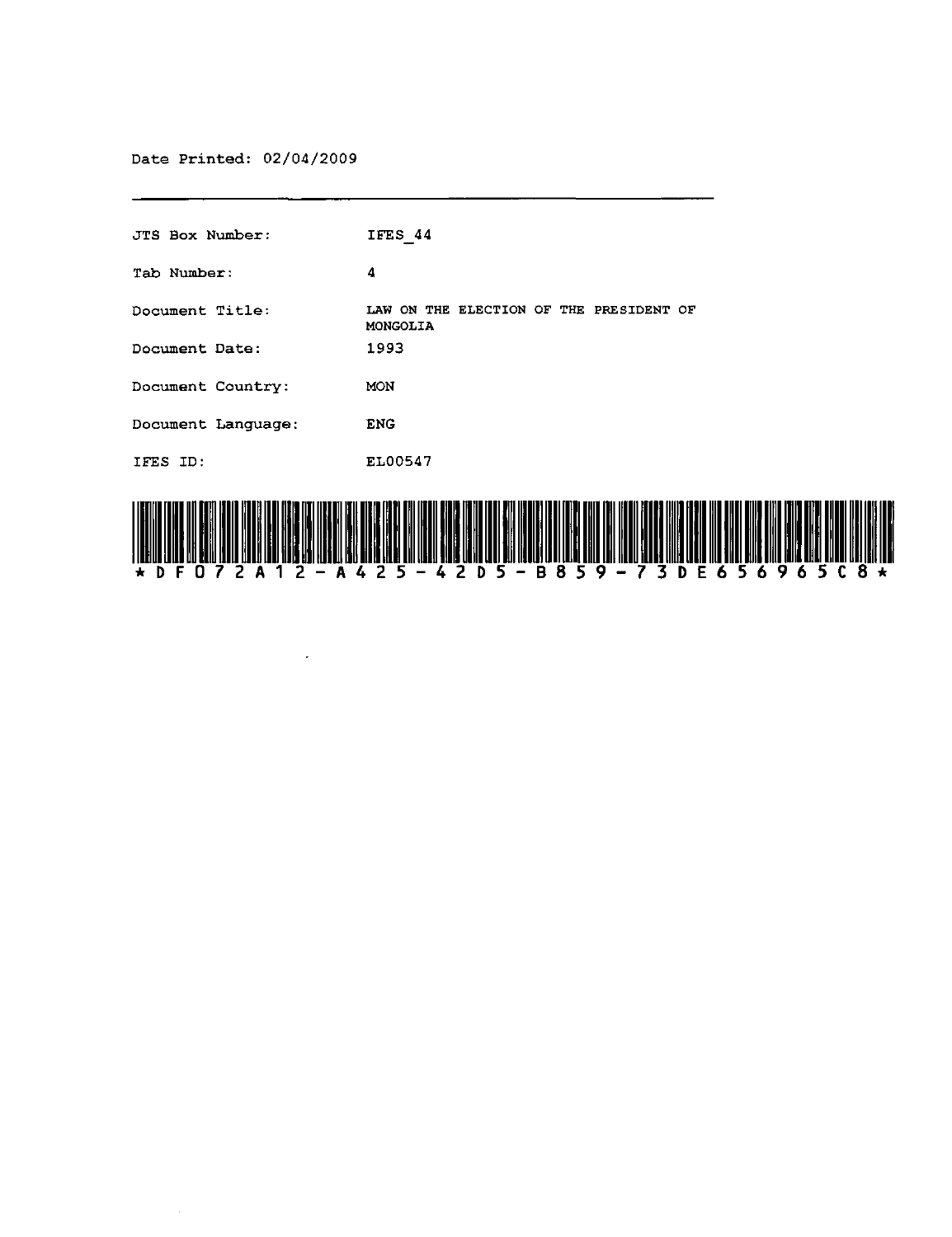Date Printed: 02/04/2009

 $\bar{\mathcal{A}}$ 

| <b>JTS Box Number:</b> | IFES 44                                                                                                                       |
|------------------------|-------------------------------------------------------------------------------------------------------------------------------|
| Tab Number:            | 4                                                                                                                             |
| Document Title:        | LAW ON THE ELECTION OF THE PRESIDENT OF<br>MONGOLIA                                                                           |
| Document Date:         | 1993                                                                                                                          |
| Document Country:      | MON                                                                                                                           |
| Document Language:     | <b>ENG</b>                                                                                                                    |
| IFES ID:               | EL00547                                                                                                                       |
|                        | resta ang ang tao kao in ata as masi na selata ng mga ang ang ang ang ang ang ang ang ang mga mag ang ang ang ang pag pag-pag |

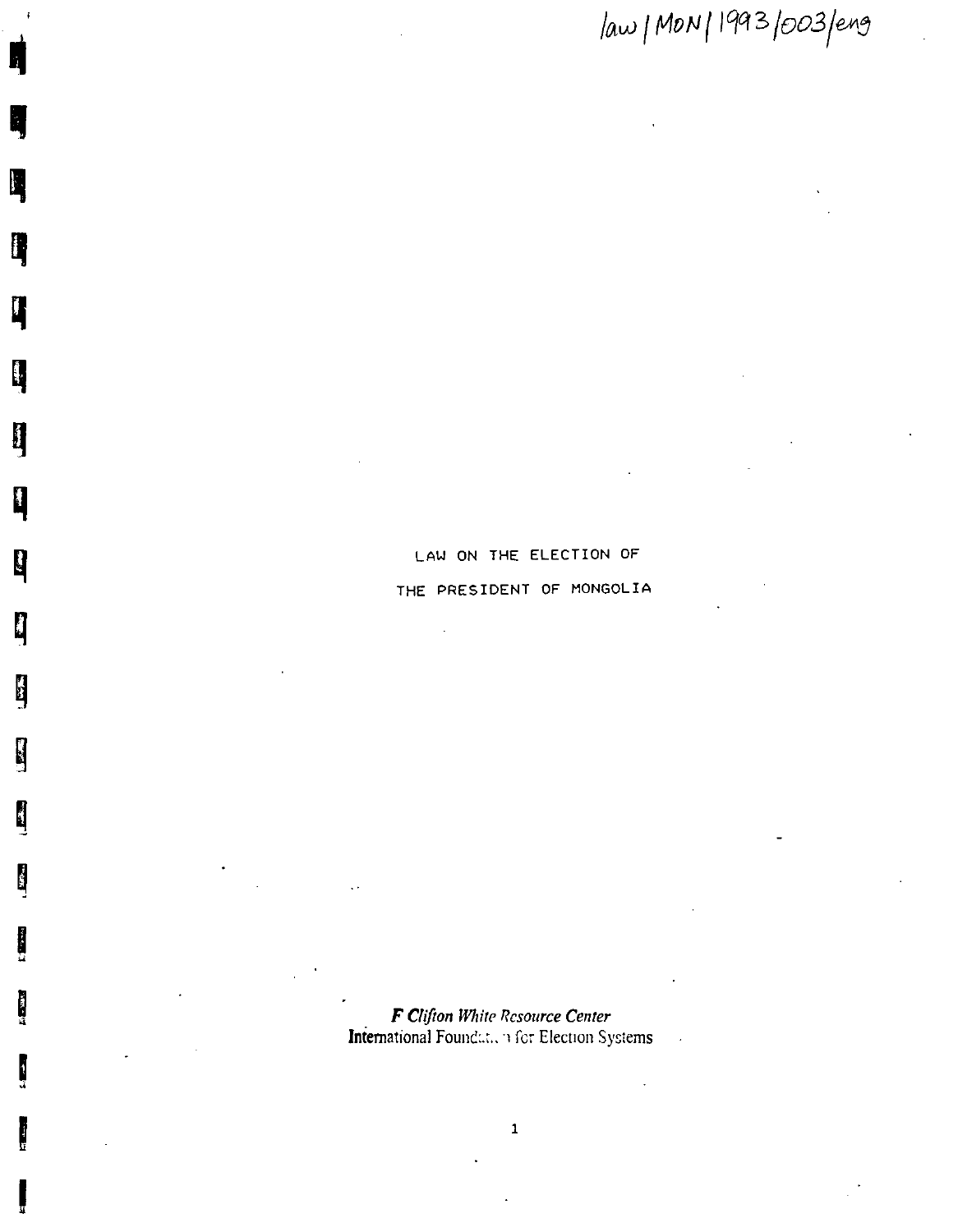law | MON | 1993 /003 /eng

# LAW ON THE ELECTION OF THE PRESIDENT OF MONGOLIA

h

L,

Ŋ

q

L

<sup>i</sup>

Ĥ

 $\mathbf{Q}$ 

**Edge** 

 $\mathbf{L}$ 

J

 $\frac{1}{2} \sum_{i=1}^n \frac{1}{2} \sum_{j=1}^n \frac{1}{2} \sum_{j=1}^n \frac{1}{2} \sum_{j=1}^n \frac{1}{2} \sum_{j=1}^n \frac{1}{2} \sum_{j=1}^n \frac{1}{2} \sum_{j=1}^n \frac{1}{2} \sum_{j=1}^n \frac{1}{2} \sum_{j=1}^n \frac{1}{2} \sum_{j=1}^n \frac{1}{2} \sum_{j=1}^n \frac{1}{2} \sum_{j=1}^n \frac{1}{2} \sum_{j=1}^n \frac{1}{2} \sum_{j=$ 

 $\frac{1}{2}$ 

医心室下的

F Clifton White Resource Center International Foundati, her Election Systems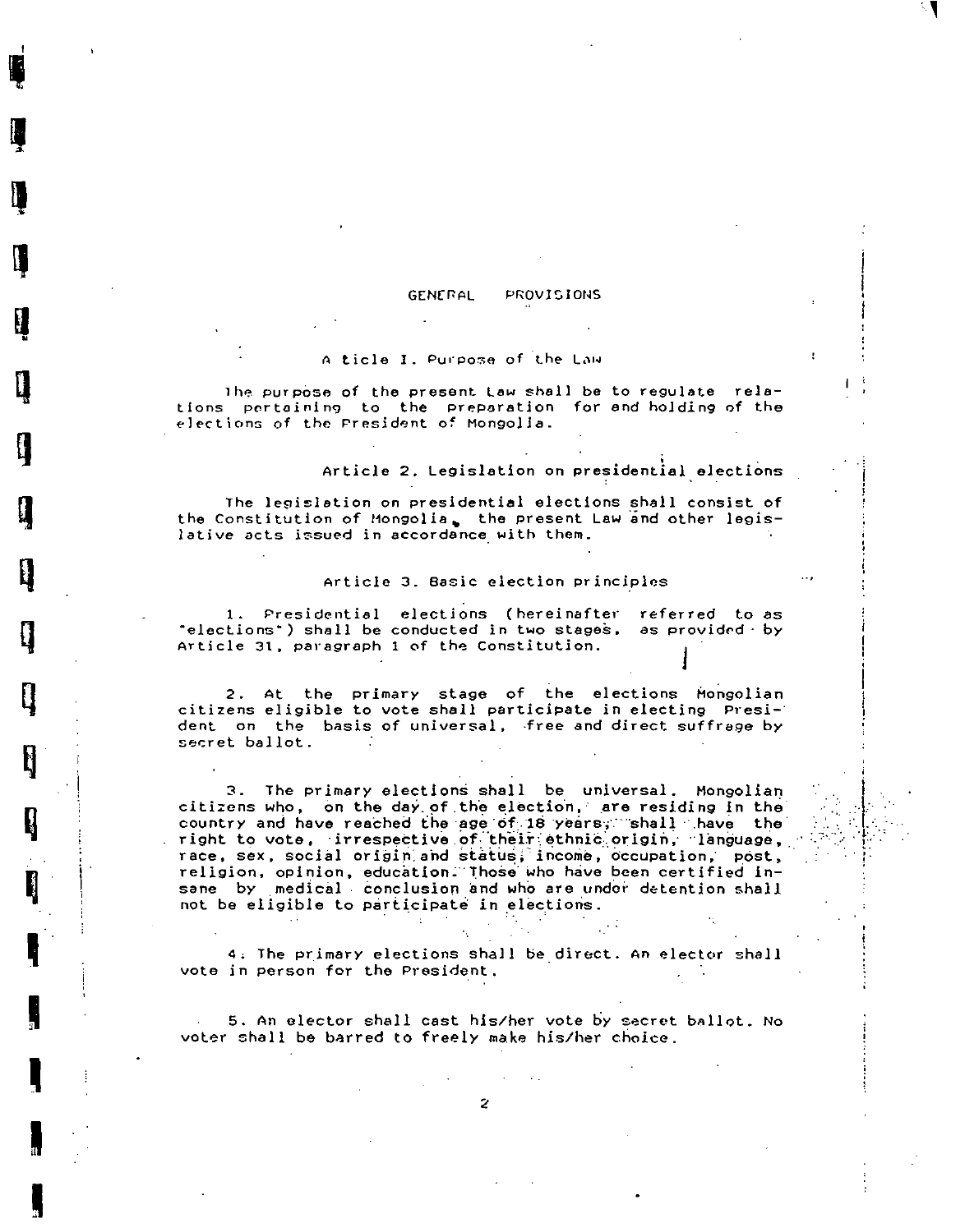#### PROVISIONS **GENERAL**

#### A ticle I. Purpose of the Law

The purpose of the present Law shall be to regulate relations pertaining to the preparation for and holding of the elections of the President of Mongolia.

#### Article 2. Legislation on presidential elections

The legislation on presidential elections shall consist of the Constitution of Mongolia, the present Law and other legislative acts issued in accordance with them.

#### Article 3. Basic election principles

1. Presidential elections (hereinafter referred to as "elections") shall be conducted in two stages, as provided by Article 31, paragraph 1 of the Constitution.

2. At the primary stage of the elections Mongolian citizens eligible to vote shall participate in electing President on the basis of universal, free and direct suffrage by secret ballot.

3. The primary elections shall be universal. Mongolian citizens who, on the day of the election, are residing in the country and have reached the age of 18 years, shall have the right to vote, irrespective of their ethnic origin, language, race, sex, social origin and status; income, occupation, post, religion, opinion, education. Those who have been certified insane by medical conclusion and who are under detention shall not be eligible to participate in elections.

4. The primary elections shall be direct. An elector shall vote in person for the President.

5. An elector shall cast his/her vote by secret ballot. No voter shall be barred to freely make his/her choice.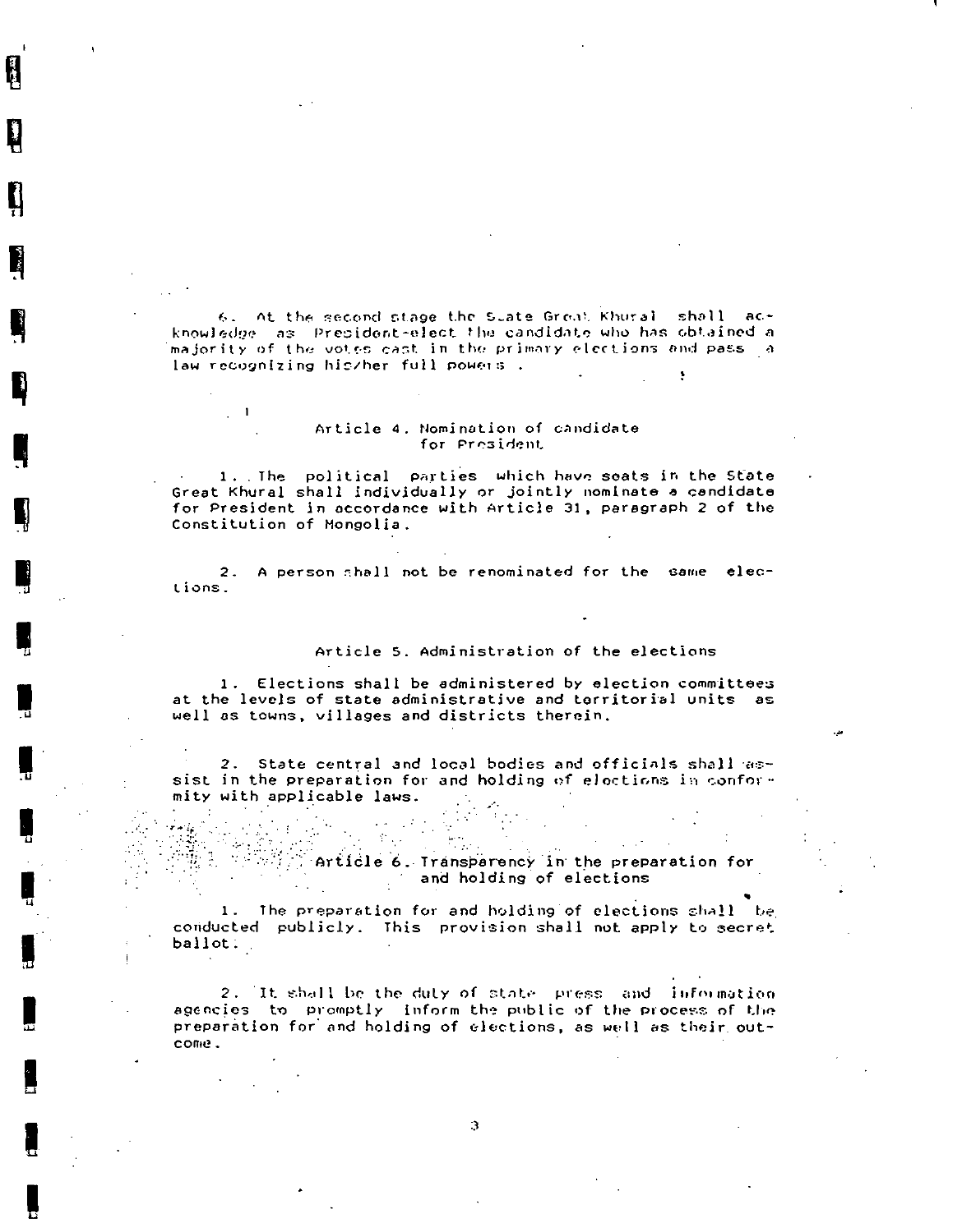6. At the second stage the State Grout Khural shall acknowledge as Prepident-elect the candidate who has obtained a majority of the votes cast in the primary elections and pass  $\|a\|$ law recognizing his/her full powers.

#### Article 4. Nomination of candidate for President

 $\blacksquare$ 

 $\frac{1}{\sqrt{2}}$ 

1. The political parties which have seats in the State Great Khural shall individually or jointly nominate a candidate for President in accordance with Article 31, paragraph 2 of the Constitution of Mongolia.

2. A person shall not be renominated for the same elections.

#### Article 5. Administration of the elections

1. Elections shall be administered by election committees at the levels of state administrative and territorial units as well as towns, villages and districts therein.

2. State central and local bodies and officials shall assist in the preparation for and holding of elections in conformity with applicable laws.

 $\mathcal{P}_{\mathcal{M}^{\mathcal{G}}}$ 

 $\mathcal{L}_{\text{max}}$  $\mathcal{L}_{\text{max}}$  $\sim 10^{-1}$ Article 6. Transparency in the preparation for and holding of elections

1. The preparation for and holding of elections shall the conducted publicly. This provision shall not apply to secret ballot:

2. It shall be the duty of state press and information agencies to promptly inform the public of the process of the preparation for and holding of elections, as well as their outcome.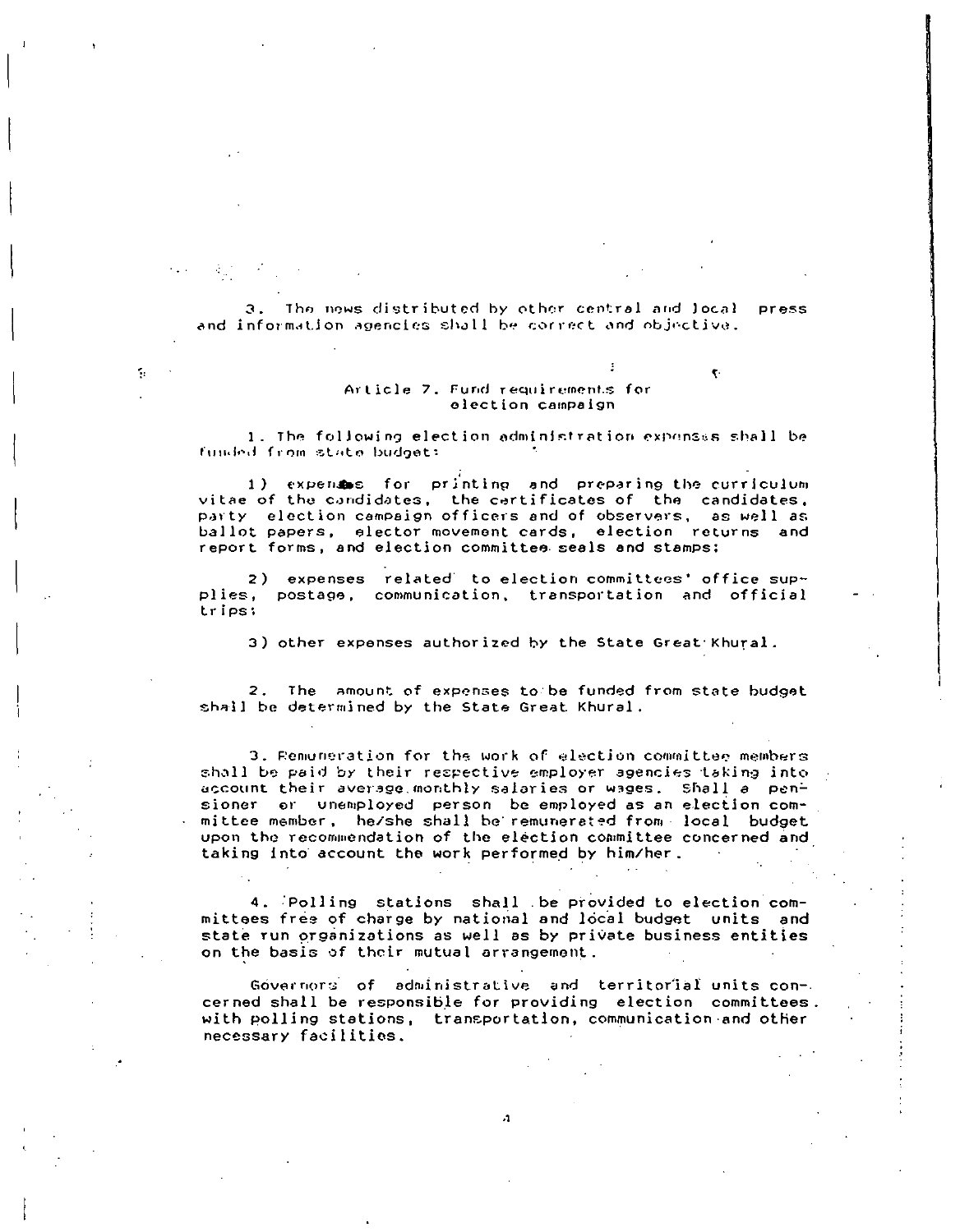3. The news distributed by other central and local **Press** and information agencies shall be correct and objective.

### Article 7. Fund requirements for election campaign

 $\overline{\mathbf{v}}$ 

٢,

1. The following election administration expenses shall be funded from state budget:

1) expense for printing and preparing the curriculum vitae of the condidates, the certificates of the candidates, party election campaign officers and of observers, as well as ballot papers, elector movement cards, election returns and report forms, and election committee seals and stamps:

2) expenses related to election committees' office supplies, postage, communication, transportation and official trips;

3) other expenses authorized by the State Great Khural.

2. The amount of expenses to be funded from state budget shall be determined by the State Great Khural.

3. Remuneration for the work of election committee members shall be paid by their respective employer agencies taking into account their average monthly salaries or wages. Shall a pensioner or unemployed person be employed as an election committee member, he/she shall be remunerated from local budget upon the recommendation of the election committee concerned and taking into account the work performed by him/her.

4. Polling stations shall be provided to election committees free of charge by national and local budget units and state run organizations as well as by private business entities on the basis of their mutual arrangement.

Governors of administrative and territorial units concerned shall be responsible for providing election committees. with polling stations, transportation, communication and other necessary facilities.

 $\cdot 1$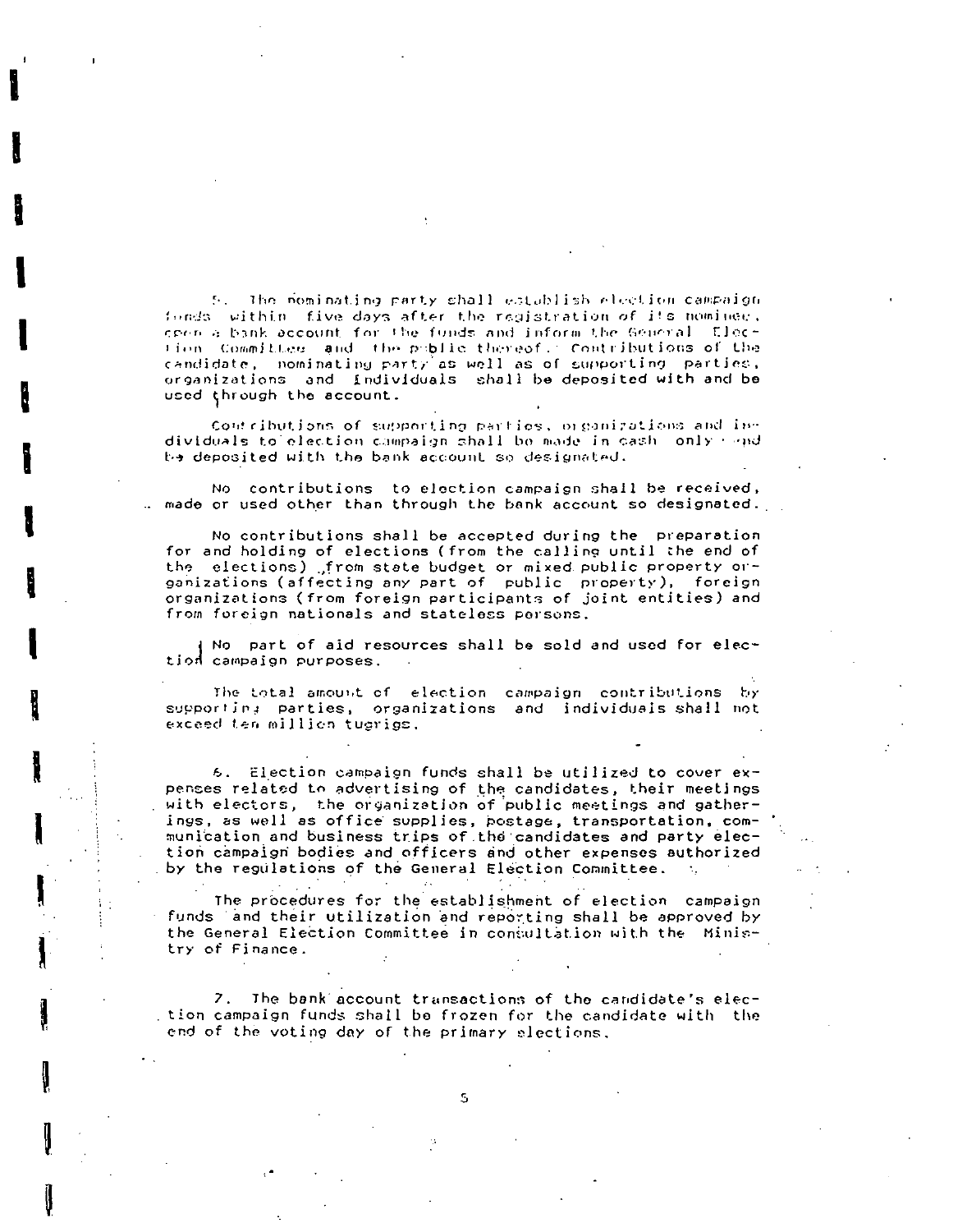5. The nominating party shall establish election campaign fonds, within, five days after the registration of its nominee. creps a bank account for the funds and informathe General. Election Committee and the public thereof. Contributions of the candidate, nominating party as well as of supporting parties, organizations and individuals shall be deposited with and be used through the account.

Contributions of supporting parties, organizations and individuals to election compaign shall be made in each only mand be deposited with the bank account so designated.

No contributions to election campaign shall be received, .. made or used other than through the bank account so designated.

No contributions shall be accepted during the preparation for and holding of elections (from the calling until the end of the elections) from state budget or mixed public property or-<br>ganizations (affecting any part of public property), foreign<br>organizations (from foreign participants of joint entities) and from foreign nationals and stateless persons.

No part of aid resources shall be sold and used for election campaign purposes.

The total amount of election campaign contributions by supporting parties, organizations and individuals shall not exceed ten million tugrigs.

6. Election campaign funds shall be utilized to cover expenses related to advertising of the candidates, their meetings with electors, the organization of public meetings and gatherings, as well as office supplies, postage, transportation, communication and business trips of the candidates and party election campaign bodies and officers and other expenses authorized by the regulations of the General Election Committee.

The procedures for the establishment of election campaign funds and their utilization and reporting shall be approved by the General Election Committee in consultation with the Ministry of Finance.

7. The bank account transactions of the candidate's election campaign funds shall be frozen for the candidate with the end of the voting day of the primary elections.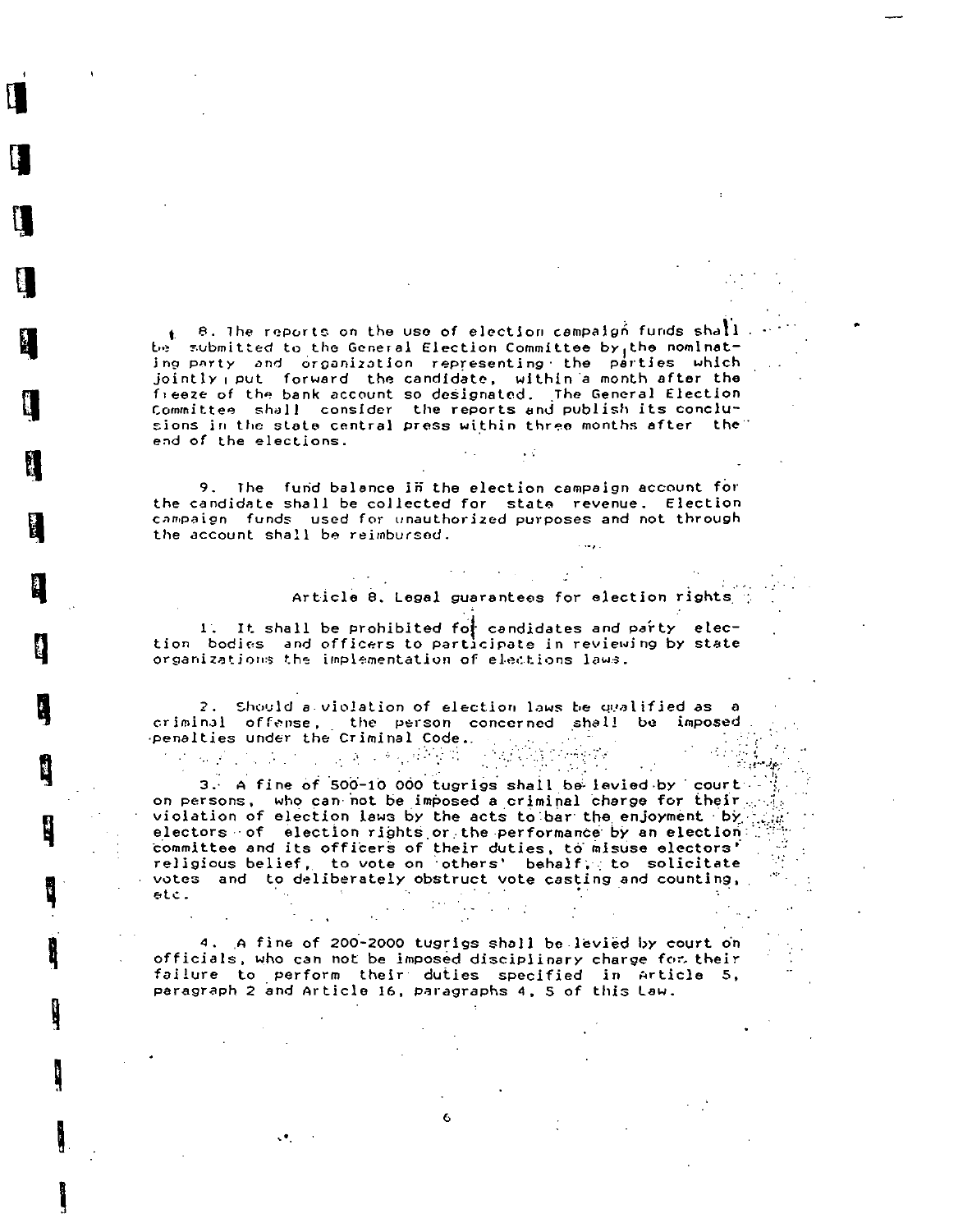$\mathbf{t} = \mathbf{B}$ . The reports on the use of election campaign funds shall be submitted to the General Election Committee by the nominating party and organization representing the parties which jointly put forward the candidate, within a month after the freeze of the bank account so designated. The General Election Committee shall consider the reports and publish its conclusions in the state central press within three months after the end of the elections.

9. The fund balance in the election campaign account for the candidate shall be collected for state revenue. Election campaign funds used for unauthorized purposes and not through the account shall be reimbursed.

#### Article 8. Legal guarantees for election rights

1. It shall be prohibited for candidates and party election bodies and officers to participate in reviewing by state organizations the implementation of elections laws.

2. Should a violation of election laws be qualified as a criminal offense, the person concerned shall be imposed penalties under the Criminal Code. 

3. A fine of 500-10 000 tugrigs shall be levied by court on persons, who can not be imposed a criminal charge for their. violation of election laws by the acts to bar the enjoyment by electors of election rights or the performance by an election: committee and its officers of their duties, to misuse electors' religious belief, to vote on others' behalf, to solicitate votes and to deliberately obstruct vote casting and counting,  $etc.$ 

4. A fine of 200-2000 tugrigs shall be levied by court on officials, who can not be imposed disciplinary charge for their failure to perform their duties specified in Article 5, paragraph 2 and Article 16, paragraphs 4, 5 of this Law.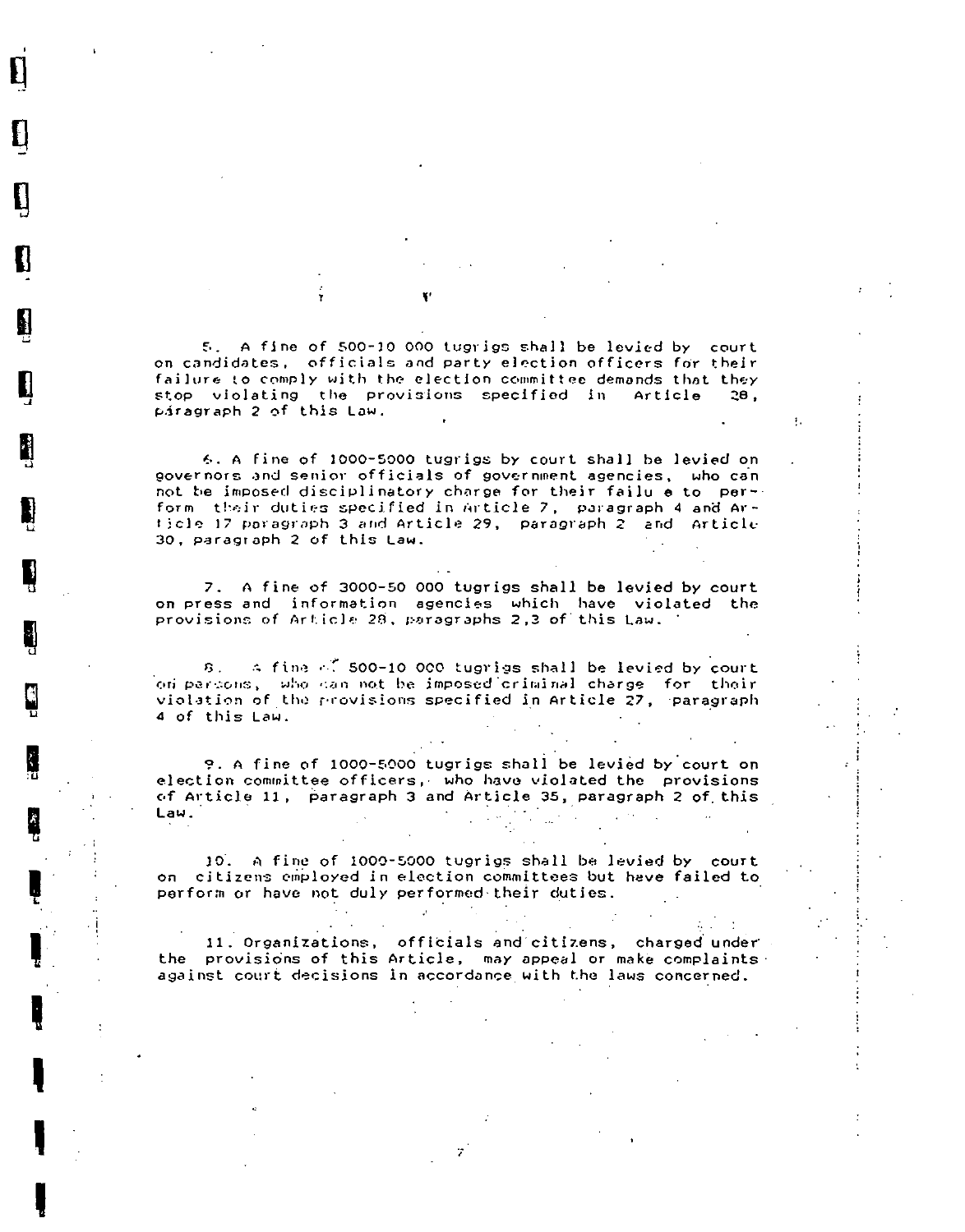5. A fine of 500-10 000 tugrigs shall be levied by court on candidates, officials and party election officers for their failure to comply with the election committee demands that they stop violating the provisions specified in Article  $28.$ páragraph 2 of this Law.

H

6. A fine of 1000-5000 tugrigs by court shall be levied on governors and senior officials of government agencies, who can not be imposed disciplinatory charge for their failu e to perform their duties specified in Article 7, paragraph 4 and Article 17 paragraph 3 and Article 29, paragraph 2 and Article 30, paragraph 2 of this Law.

7. A fine of 3000-50 000 tugrigs shall be levied by court on press and information agencies which have violated the provisions of Article 28, paragraphs 2,3 of this Law.

8. A fina of 500-10 000 tugrigs shall be levied by court on persons, who can not be imposed criminal charge for their violation of the provisions specified in Article 27, paragraph 4 of this Law.

9. A fine of 1000-5000 tugrigs shall be levied by court on election committee officers, who have violated the provisions of Article 11, paragraph 3 and Article 35, paragraph 2 of this  $\sim 10^{-10}$  $\frac{1}{2} \sum_{i=1}^n \frac{1}{2} \sum_{j=1}^n \frac{1}{2} \sum_{j=1}^n \frac{1}{2} \sum_{j=1}^n \frac{1}{2} \sum_{j=1}^n \frac{1}{2} \sum_{j=1}^n \frac{1}{2} \sum_{j=1}^n \frac{1}{2} \sum_{j=1}^n \frac{1}{2} \sum_{j=1}^n \frac{1}{2} \sum_{j=1}^n \frac{1}{2} \sum_{j=1}^n \frac{1}{2} \sum_{j=1}^n \frac{1}{2} \sum_{j=1}^n \frac{1}{2} \sum_{j=$ Law.  $\sim 100$ 

10. A fine of 1000-5000 tugrigs shall be levied by court on citizens employed in election committees but heve failed to perform or have not duly performed their duties.

 $\mathcal{A} \subset \mathcal{A}$ 

 $\mathcal{A}(\mathcal{A})$ 

 $\Delta \sim 100$ 

11. Organizations, officials and citizens, charged under the provisions of this Article, may appeal or make complaints. against court decisions in accordance with the laws concerned.

 $\sim 10^{11}$  km s  $^{-1}$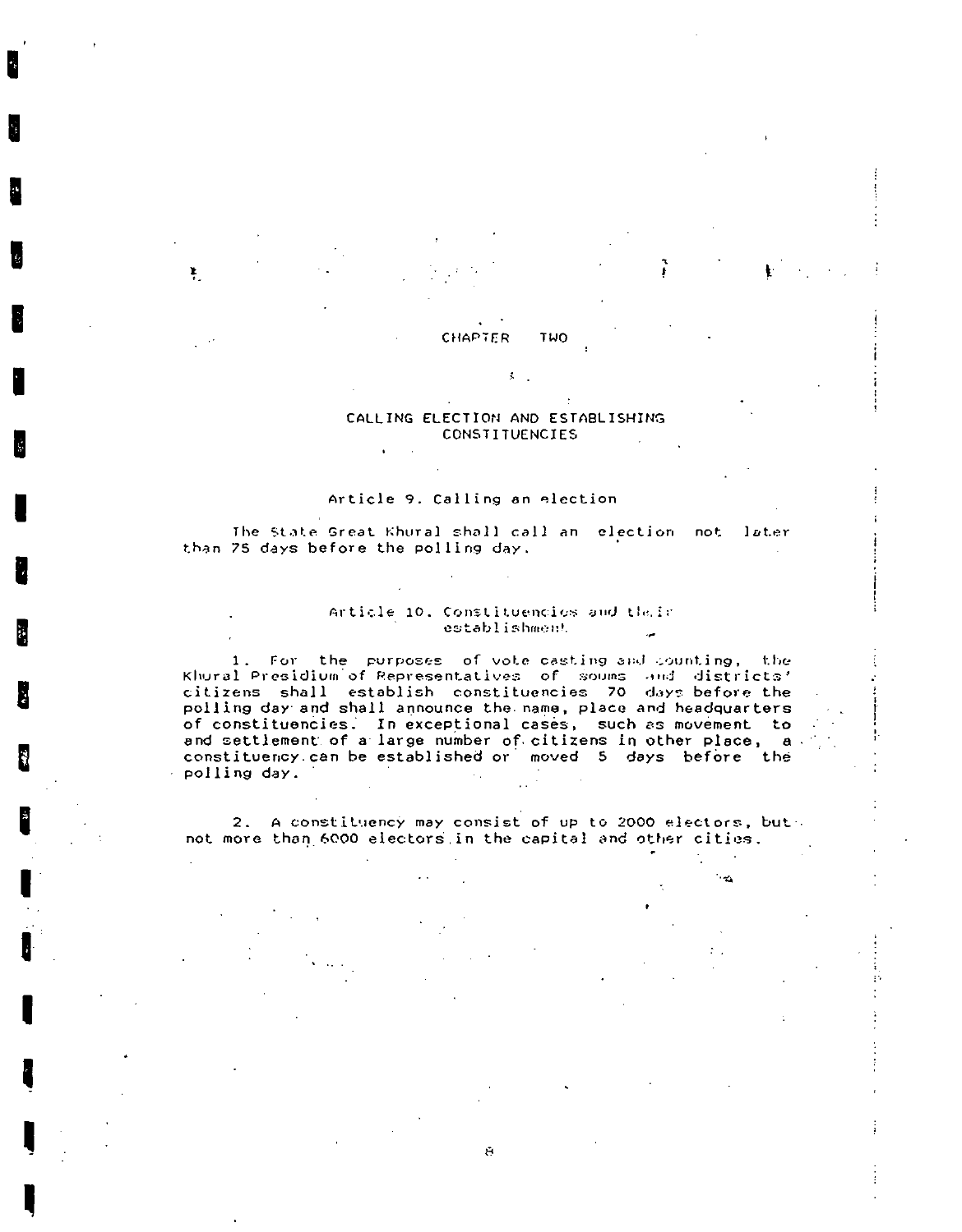#### **CHAPTER** TWO

¥.

#### CALLING ELECTION AND ESTABLISHING **CONSTITUENCIES**

š.

#### Article 9. Calling an election

The State Great Khural shall call an election not later than 75 days before the polling day.

#### Article 10. Constituencies and their establishment

1. For the purposes of vote casting and counting, the Khural Presidium of Representatives of soums and districts' citizens shall establish constituencies 70 days-before the polling day and shall announce the name, place and headquarters of constituencies. In exceptional cases, such as movement to and settlement of a large number of citizens in other place, a constituency can be established or moved 5 days before the polling day.

2. A constituency may consist of up to 2000 electors, but not more than 6000 electors in the capital and other cities.

 $\overline{\mathbf{C}}$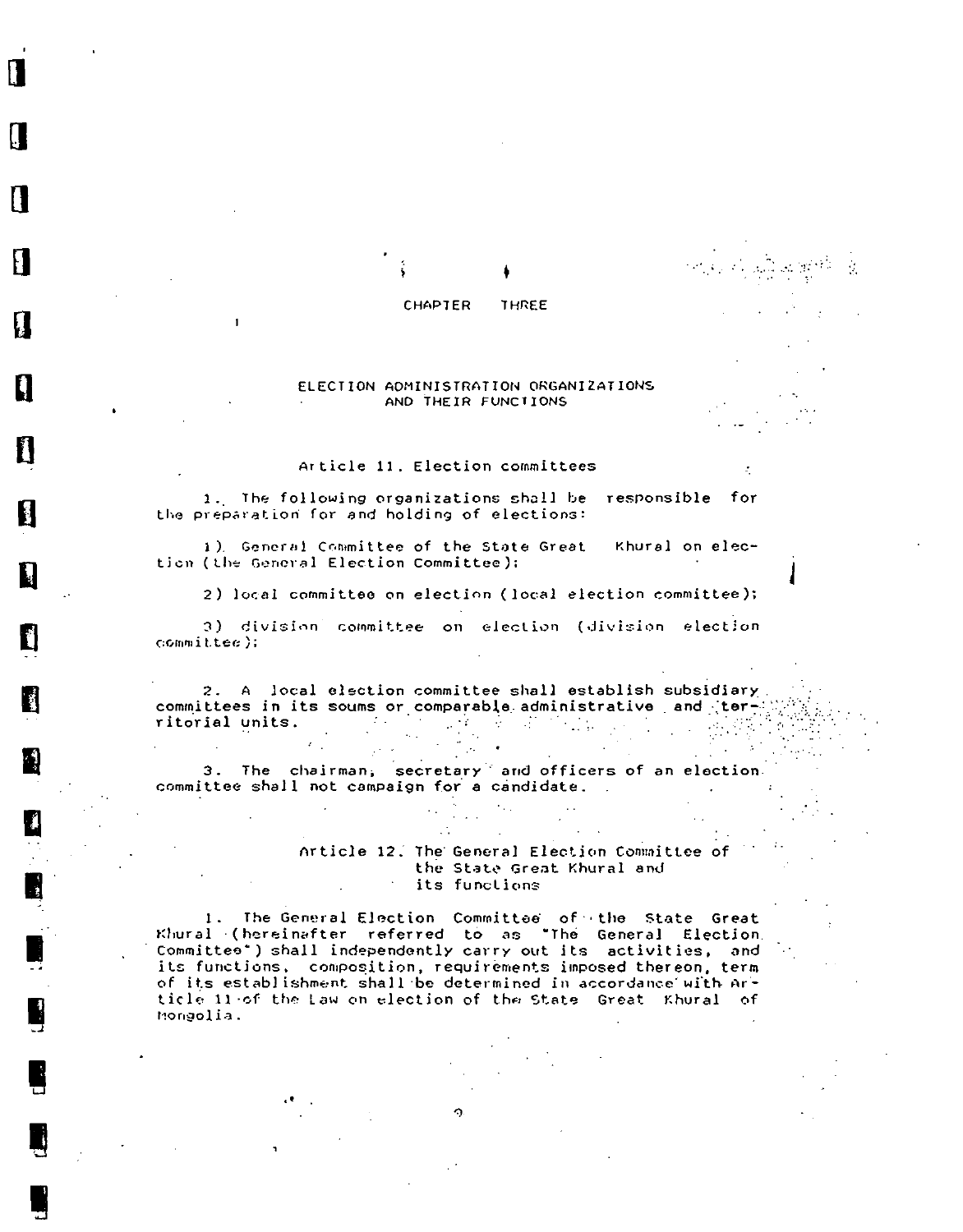#### **CHAPTER** THREE

#### ELECTION ADMINISTRATION ORGANIZATIONS AND THEIR FUNCTIONS

Article 11. Election committees

Н

1. The following organizations shall be responsible for the preparation for and holding of elections:

1). General Committee of the State Great Khural on election (the General Election Committee);

2) local committee on election (local election committee);

3) division committee on election (division election  $commuteee$ ).

2. A local election committee shall establish subsidiary committees in its soums or comparable administrative and territorial units. The contract of the contract of the contract of the contract of the contract of the contract of the contract of the contract of the contract of the contract of the contract of the contract of the contract o  $\mathcal{L} = \{ \mathcal{L}_1, \mathcal{L}_2 \}$ 

 $\Delta \sim 100$  $\frac{1}{2}$  ,  $\frac{1}{2}$ 

GS.

3. The chairman, secretary and officers of an election. committee shall not campaign for a candidate.

> Article 12. The General Election Committee of the State Great Khural and its functions

 $\sim 100$ 

1. The General Election Committee of the State Great Khural (hereinafter referred to as "The General Election, Committee") shall independently carry out its activities, and its functions, composition, requirements imposed thereon, term of its establishment shall be determined in accordance with Article 11 of the Law on election of the State Great Khural of Mongolia.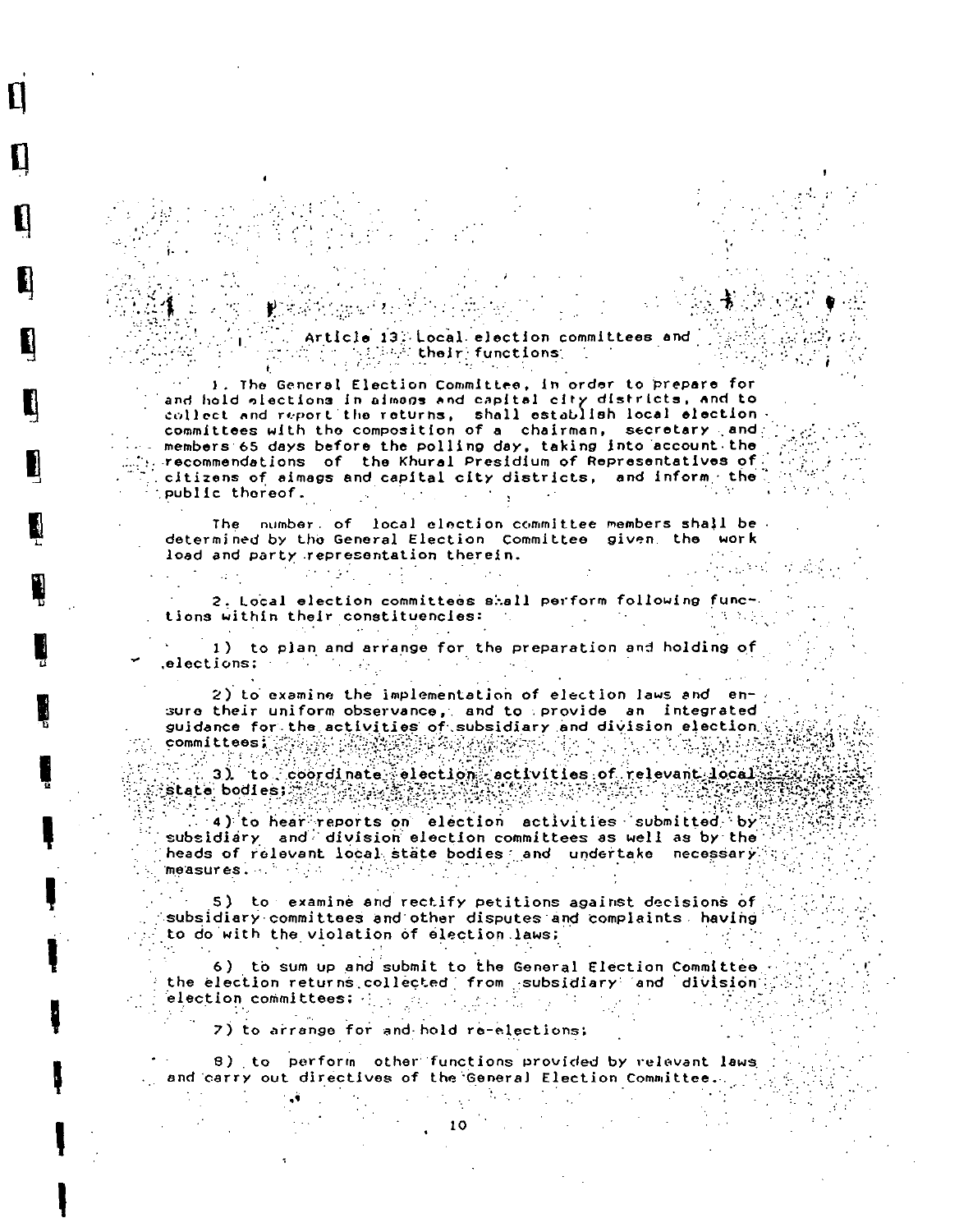Article 13: Local election committees and  $\mathbb{E}[\mathcal{E}_{\mathcal{A}}] \geq \mathbb{E}[\mathcal{E}_{\mathcal{A}}]$  their functions  $\mathcal{E}_{\mathcal{A}}$ 

1. The General Election Committee, in order to prepare for and hold slections in aimons and capital city districts, and to collect and report the returns, shall establish local election committees with the composition of a chairman, secretary and members 65 days before the polling day, taking into account the recommendations of the Khural Presidium of Representatives of citizens of aimags and capital city districts, and inform the public thereof.

The number, of local election committee members shall be. determined by the General Election Committee given, the work load and party representation therein.

2. Local election committees shall perform following functions within their constituencies: ri de la po **120 Carl Carl** 

 $\mathcal{L}^{\text{max}}_{\text{max}}$  and  $\mathcal{L}^{\text{max}}_{\text{max}}$ 

 $\sim 100$  MeV

1) to plan and arrange for the preparation and holding of elections: The Secret Secret Secret Secret Secret Secret Secret Secret Secret Secret Secret Secret Secret Secret Secret Secret Secret Secret Secret Secret Secret Secret Secret Secret Secret Secret Secret Secret Secret Secr

2) to examine the implementation of election laws and ensure their uniform observance, and to provide an integrated guidance for the activities of subsidiary and division election i committees: ကြွမ်းမြန်မြန်မြ

3) to coordinate election activities of relevant local  $state$  bodies;  $\pm$ 

4) to hear reports on election activities submitted by subsidiary and division election committees as well as by the heads of relevant local state bodies and undertake necessary. measures. A state of the state of the state of the state of the state of the state of the state of the state o 

5) to examine and rectify petitions against decisions of subsidiary committees and other disputes and complaints having to do with the violation of election laws;

6) to sum up and submit to the General Election Committee the election returns collected from subsidiary and division election committees:  $\left\{ \cdot ,\cdot \right\}$  $\mathcal{L}(\mathcal{L}^{\mathcal{L}}_{\mathcal{L}})$  ,  $\mathcal{L}^{\mathcal{L}}_{\mathcal{L}}$  ,  $\mathcal{L}^{\mathcal{L}}_{\mathcal{L}}$ 

7) to arrange for and hold re-elections;

8) to perform other functions provided by relevant laws and carry out directives of the General Election Committee.

 $\mathcal{L}_{\rm{max}}$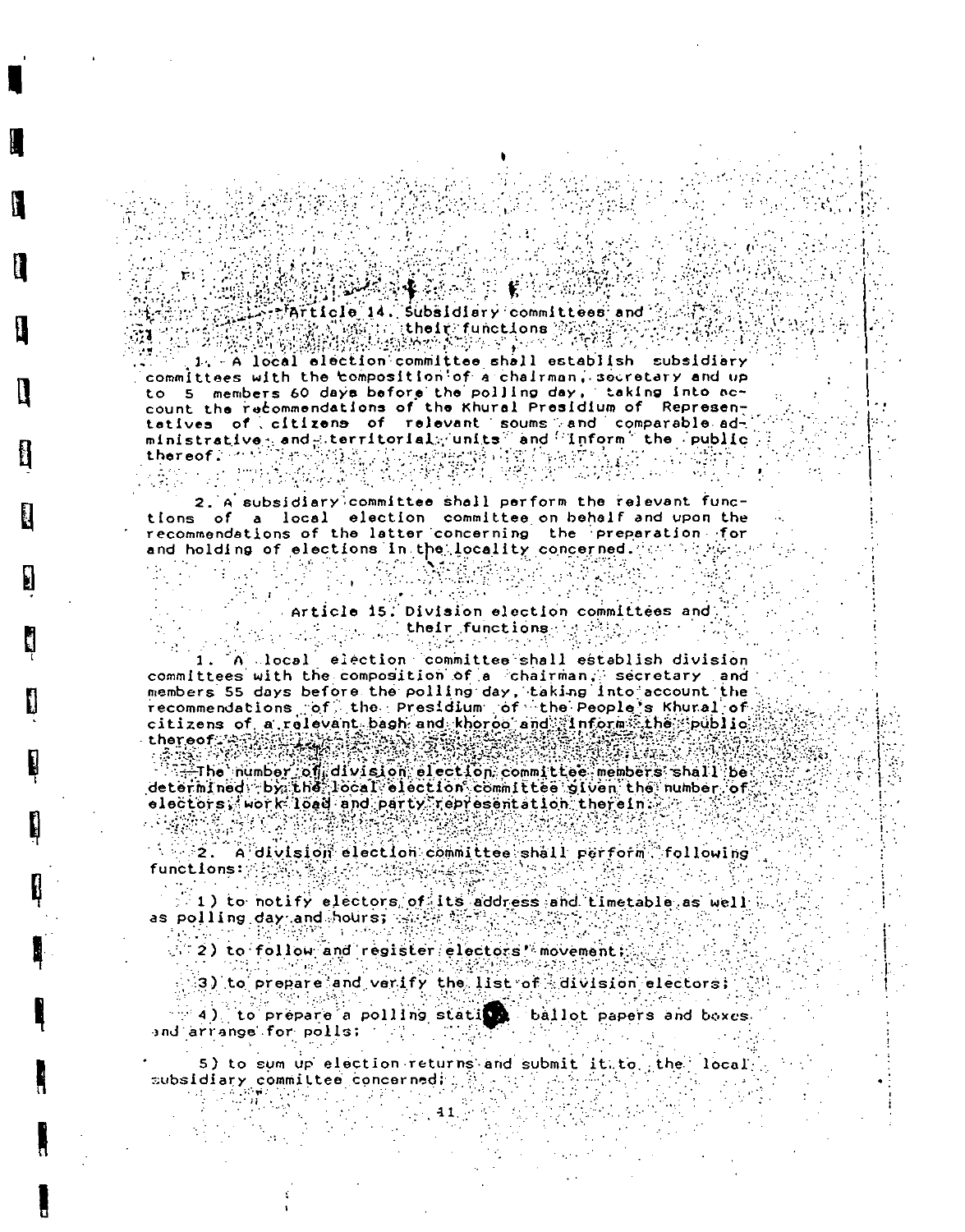### $\label{eq:1} \mathcal{F}_{\mathbf{q}}(\mathbf{x}) = \mathcal{F}_{\mathbf{q}}(\mathbf{x}) = \mathcal{F}_{\mathbf{q}}(\mathbf{x})$ FArticle 14. Subsidiary committees and

(h. 1932)

1. A local election committee shall establish subsidiery committees with the composition of a chairman, socretary and up to 5 members 60 days before the polling day, taking into account the recommendations of the Khural Presidium of Represen-<br>tatives of citizens of relevant soums and comparable administrative, and territorial units and 'inform' the public,<br>thereof. (2) and (1) and (2) and (2) and (2) and (2) and (2) and (2) and (2) and (2) and (2) and (2) and (2) and (2) and (2) and (2) and (2) and (2) and (2) and

2. A subsidiary committee shall perform the relevant functions of a local election committee on behalf and upon the<br>recommendations of the latter concerning the preparation for and holding of elections in the locality concerned. An arty  $\mathcal{O}(\mathcal{E}_{\mathcal{A}})$  .  $\mathcal{L} \in \mathcal{M}^{\mathcal{U}}$  $\label{eq:1} \frac{\partial}{\partial x} \frac{\partial}{\partial y} = \frac{\partial}{\partial y} \frac{\partial}{\partial z} \frac{\partial}{\partial x} + \frac{\partial}{\partial y} \frac{\partial}{\partial y}$ 

# Article 15. Division election committees and

1. A local election committee shall establish division committees with the composition of a chairman, secretary and members 55 days before the polling day, taking into account the recommendations of the Presidium of the People's Khural of citizens of a relevant besh and khoroo and finform the public thereof a specific and the state of atar Fil

The number of division election committee members shall be determined by the local election committee given the number of elečtors, work löad and party representation therein: r

 $\rightarrow$   $-2$ . A division election committee shall perform following functions:

 $>1$ ) to notify electors of its address and timetable as well as polling day and hours; satisfy the 2

 $\leq$  2) to follow and register electors' movement;

3) to prepare and verify the list of division electors;

(1) (1) to prepare a polling stating ballot papers and boxes. and arrange for polis: The

5) to sum up election returns and submit it to the local subsidiary committee concerned: Western March  $\mathcal{O}(\mathcal{O}(\log n))$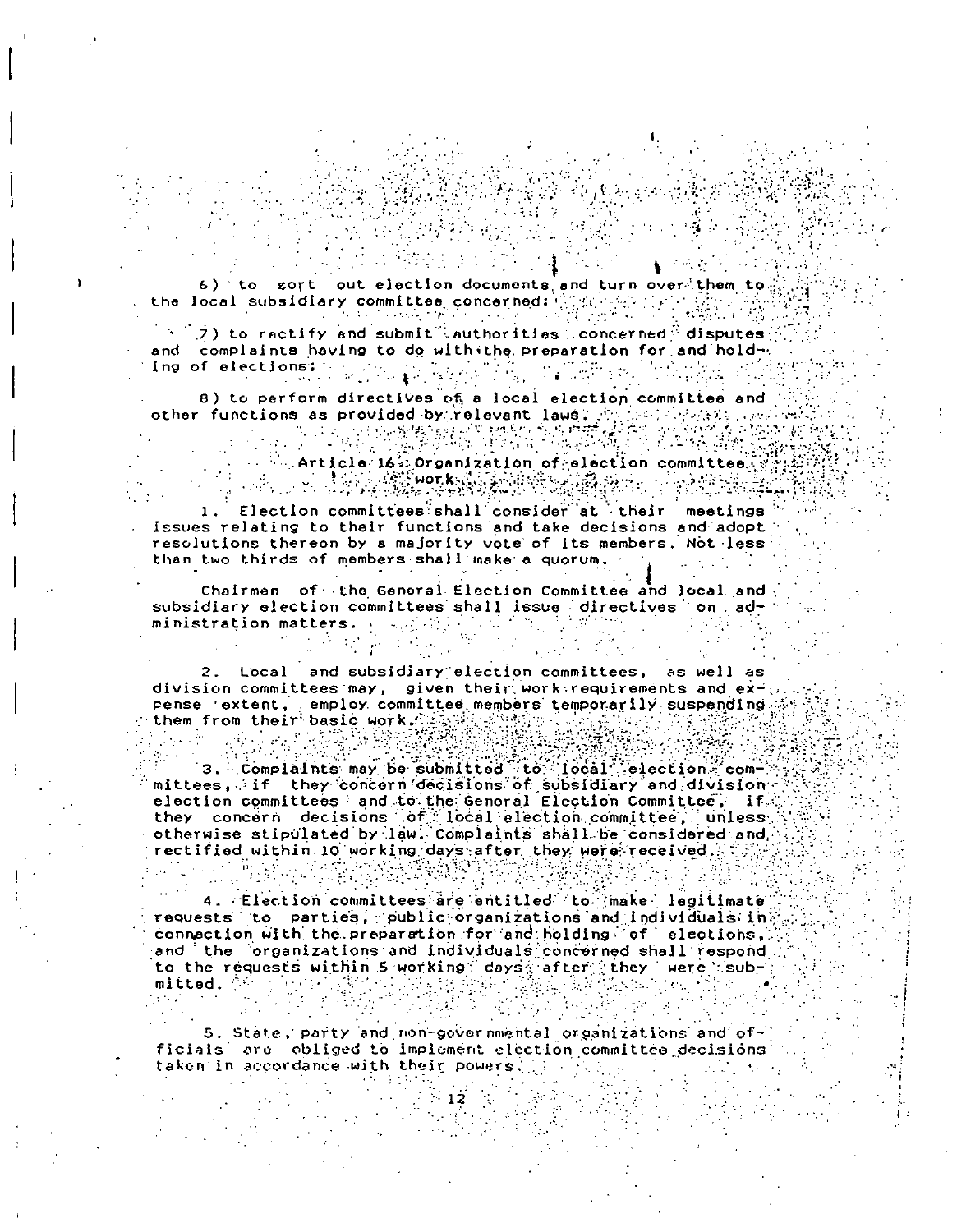6) to sort out election documents and turn over them to the local subsidiary committee concerned; which is **Contractor** Service

n tin general an

 $\mathbb{R}^3$ ) to rectify and submit (authorities) concerned disputes and complaints having to do with the preparation for and hold-2. 第2章 四节。<br>8. 指令的第三节。  $\label{eq:3.1} \begin{split} \mathcal{L}_{\mathcal{D}}(\mathcal{L}_{\mathcal{D}}) & = \frac{1}{2} \sum_{i=1}^{2} \mathcal{L}_{\mathcal{D}}(\mathcal{L}_{\mathcal{D}}) \mathcal{L}_{\mathcal{D}}(\mathcal{L}_{\mathcal{D}}) \\ & = \frac{1}{2} \sum_{i=1}^{2} \mathcal{L}_{\mathcal{D}}(\mathcal{L}_{\mathcal{D}}) \mathcal{L}_{\mathcal{D}}(\mathcal{L}_{\mathcal{D}}) \mathcal{L}_{\mathcal{D}}(\mathcal{L}_{\mathcal{D}}) \mathcal{L}_{\mathcal{D}}(\mathcal{L$ ing of elections:

8) to perform directives of a local election committee and other functions as provided by relevant laws. An installably ago.

 $\label{eq:1} \mathcal{L}(\mathcal{D}_{\mathcal{A}}(\mathcal{D}_{\mathcal{A}})) \cong \mathcal{L}(\mathcal{D}_{\mathcal{A}}(\mathcal{D}_{\mathcal{A}}))$  $\sim$  Article 163 Organization of election committee. 

Election committees shall consider at their meetings issues relating to their functions and take decisions and adopt resolutions thereon by a majority vote of its members. Not less than two thirds of members shall make a quorum.

Chairmen of the General Election Committee and local and subsidiary election committees shall issue directives on ad-<br>ministration matters. A serious contraction of the state of the state of the state of the state of the state o

2. Local and subsidiary election committees, as well as division committees may, given their work requirements and expense 'extent, employ committee members temporarily suspending them from their basic work. A water the  $\sim 100$  km s  $^{-1}$  cm  $^{-1}$ 

المستعمل والمستحيل

3. Complaints may be submitted to ideal election com-<br>mittees, if they concern decisions of subsidiary and division election committees and to the General Election Committee, if they concern decisions of local election committee, unless otherwise stipulated by law. Complaints shall be considered and. rectified within 10 working days after they were received.

4. Election committees are entitled (to make legitimate requests to parties, public organizations and individuals in connection with the preparation for and holding of elections, and the organizations and individuals concerned shall respond to the requests within 5 working days after they were sub- $\mathcal{O}(\mathcal{E})$ mitted. And the same  $\cdot$  .

5. State, party and non-governmental organizations and officials are obliged to implement election committee decisions taken in accordance with their powers. The fight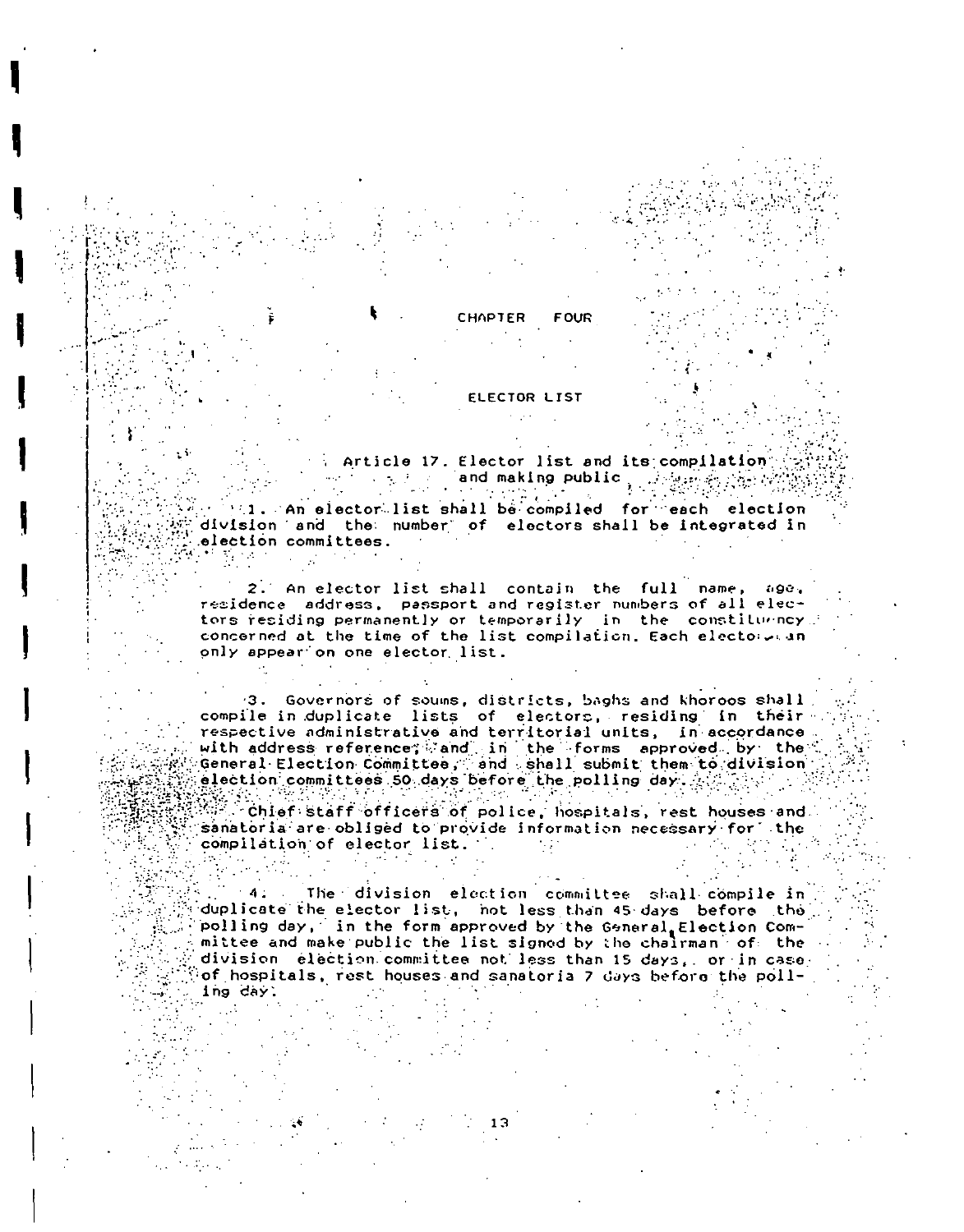

#### **ELECTOR LIST**

Article 17. Elector list and its compilation 

**FOUR** 

1. An elector list shall be compiled for each election division and the number of electors shall be integrated in election committees.  $\mathcal{H}(\mathcal{B})$  is a subset of the set of the set of the set of the set of the set of the set of the set of the set of the set of the set of the set of the set of the set of the set of the set of the set of the set of the

2. An elector list shall contain the full name, age, residence address, passport and register numbers of all electors residing permanently or temporarily in the constituency. concerned at the time of the list compilation. Each electoreran only appear on one elector list.

3. Governors of soums, districts, baghs and khoroos shall compile in duplicate lists of electors, residing in their respective administrative and territorial units, in accordance with address reference; and in the forms approved by the<br>General Election Committee, and shall submit them to division election committees 50 days before the polling day.  $\mathbb{R}^n$  is the

 $\mathbb{S}^{\mathbb{Z}}$  chief staff officers of police, hospitals, rest houses and. sanatoria are obliged to provide information necessary for the compilation of elector list.

The division election committee shall compile in  $-4.1$ duplicate the elector list, not less than 45 days before the polling day, in the form approved by the General Election Committee and make public the list signed by the chairman of the division election committee not less than 15 days, or in case of hospitals, rest houses and sanatoria 7 days before the polling day.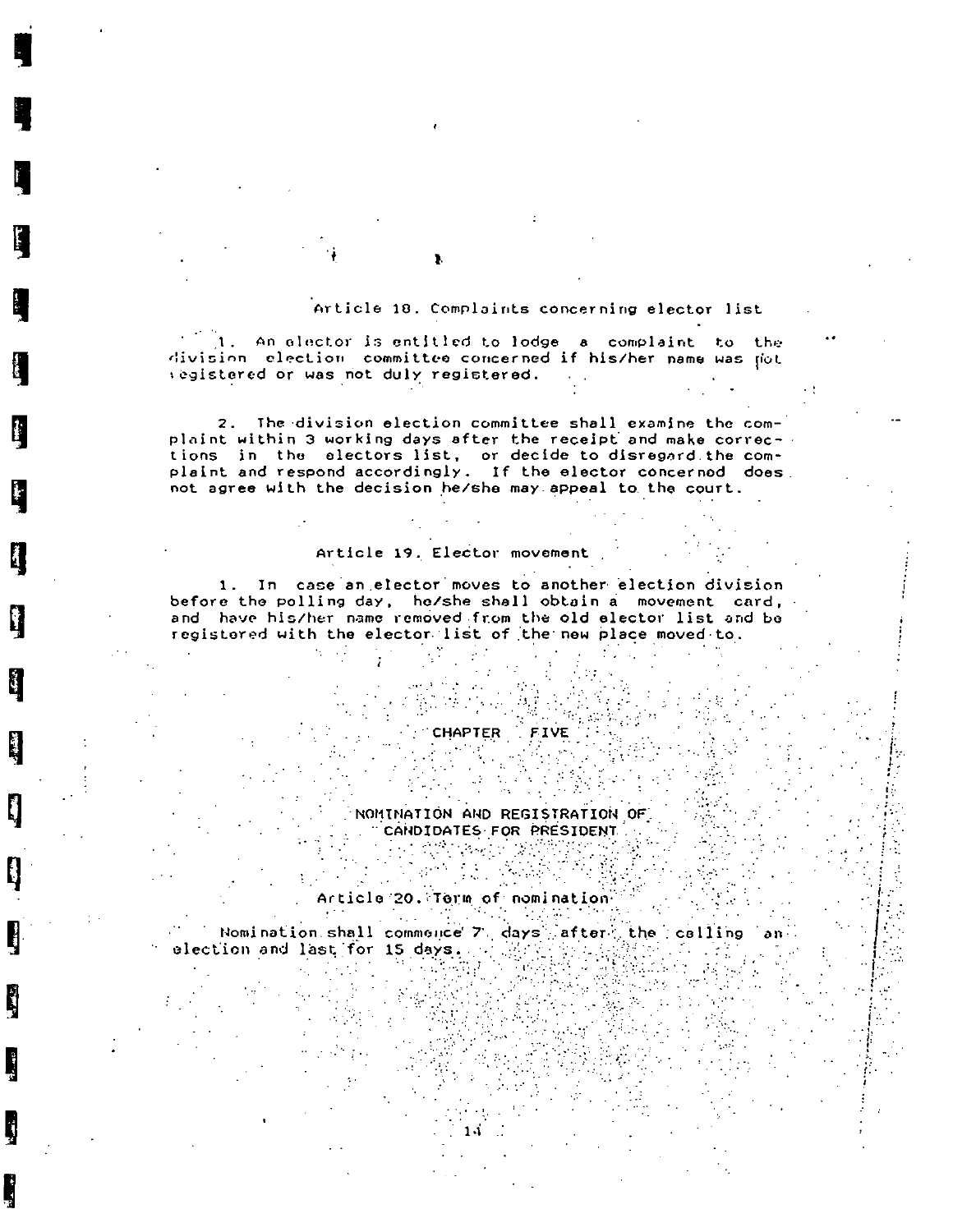#### Article 18. Complaints concerning elector list

1. An elector is entitled to lodge a complaint to the division election committee concerned if his/her name was jot registered or was not duly registered.

2. The division election committee shall examine the complaint within 3 working days after the receipt and make corrections in the electors list, or decide to disregard the complaint and respond accordingly. If the elector concerned does not agree with the decision he/she may appeal to the court.

### Article 19. Elector movement

1. In case an elector moves to another election division before the polling day, he/she shall obtain a movement card, and have his/her name removed from the old elector list and be registered with the elector list of the new place moved to.

# CHAPTER FIVE

NOMINATION AND REGISTRATION OF CANDIDATES FOR PRESIDENT 

# Article 20. Term of nomination"

Nomination shall commence.<br>ection and last for 15 days, Nomination shall commonce 7 days after the calling еI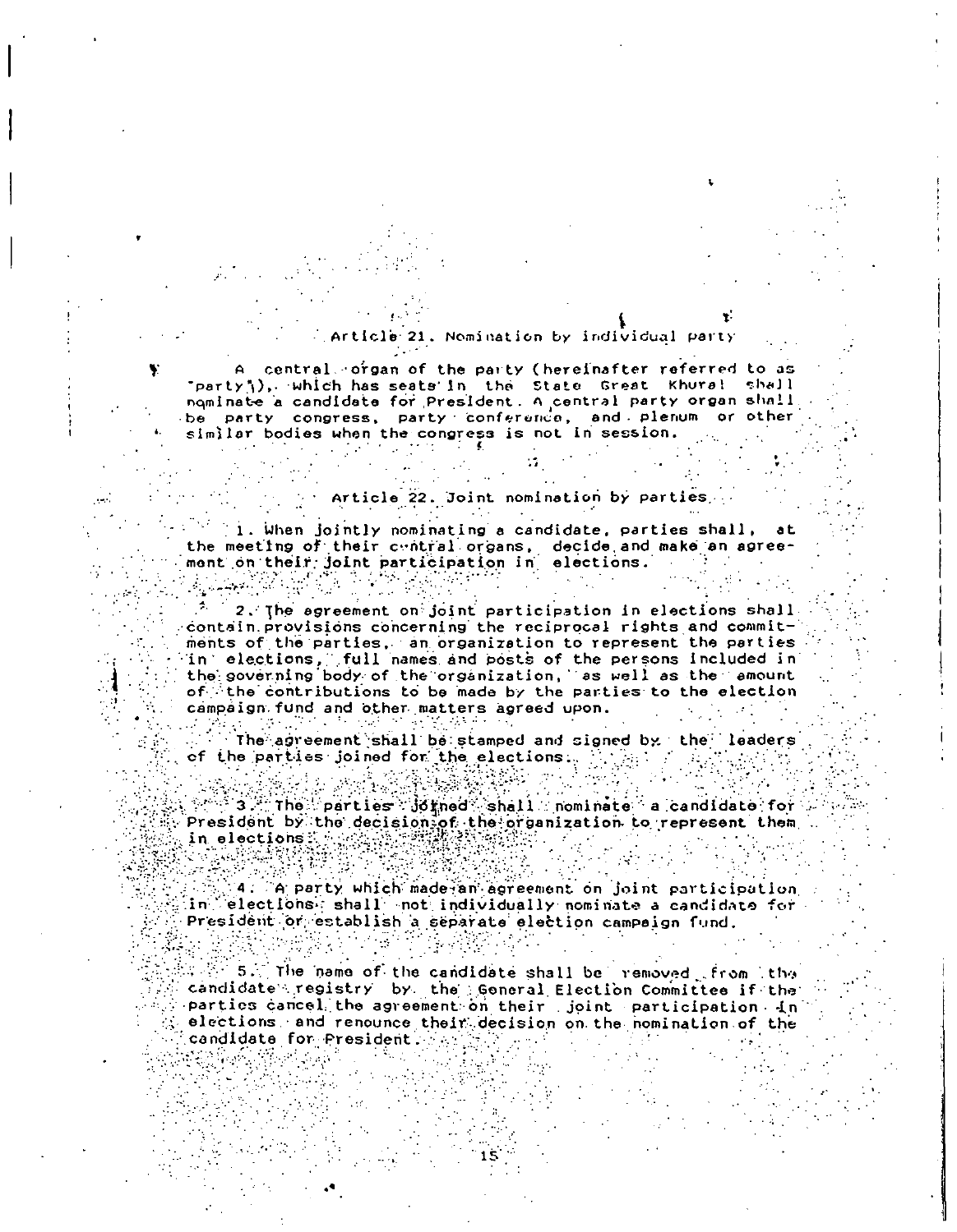#### cle 21. Nomination by individual party

A central organ of the party (hereinafter referred to as "party"), which has seats in the State Great Khural shall<br>nominate a candidate for President. A central party organ shall be party congress, party conference, and plenum or other similar bodies when the congress is not in session.

#### Article 22. Joint nomination by parties.

1. When jointly nominating a candidate, parties shall, at the meeting of their central organs, decide and make an agreement on their joint participation in elections.

 $\phi_{\rm c}$  . 2. The agreement on joint participation in elections shall contain provisions concerning the reciprocal rights and commitments of the parties, an organization to represent the parties in elections, full names and posts of the persons included in the governing body of the organization, as well as the amount of the contributions to be made by the parties to the election campaign fund and other matters agreed upon.

The agreement shall be stamped and signed by the leaders of the parties joined for the elections.  $\mathbb{R}^n$  and  $\mathbb{R}^n$ 

في وَأَسْهِيمَ: إيامي

સ્યુજિયાને જાહેરા ક

 $\mathcal{L}^{(1)}$  $\mathbb{R}^m$  3. The parties  $\mathbb{G}$  (ined shall mominate a candidate for President by the decision of the organization to represent them e se SERIKAN ist fra 1997<br>De Talies (fr

4. A party which made an agreement on joint participation in Selections: shall not individually nominate a candidate for President or establish a separate election campaign fund.

5. The name of the candidate shall be removed from the candidate registry by the General Election Committee if the parties cancel the agreement on their joint participation in elections, and renounce their decision on the nomination of the candidate for President.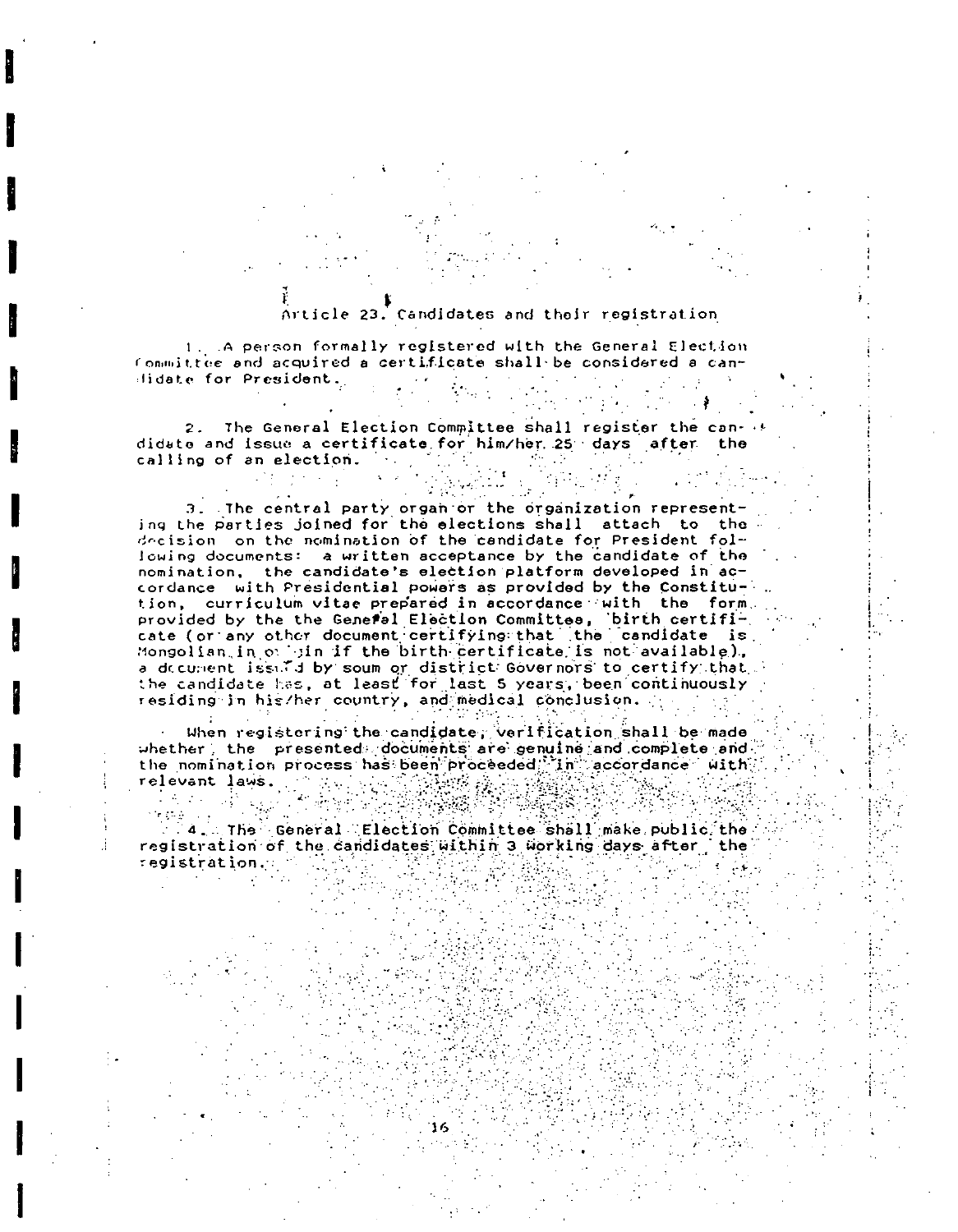### Article 23. Candidates and their registration

1. A person formally registered with the General Election Committee and acquired a certificate shall be considered a can- $\label{eq:2.1} \frac{1}{2} \left( \left( \frac{1}{2} \right)^2 + \left( \frac{1}{2} \right)^2 \right) \left( \frac{1}{2} \right) \left( \frac{1}{2} \right) \left( \frac{1}{2} \right) \left( \frac{1}{2} \right) \left( \frac{1}{2} \right) \left( \frac{1}{2} \right) \left( \frac{1}{2} \right) \left( \frac{1}{2} \right) \left( \frac{1}{2} \right) \left( \frac{1}{2} \right) \left( \frac{1}{2} \right) \left( \frac{1}{2} \right) \left( \frac{1}{2} \right)$ didate for President.  $\sim 30$ 

2. The General Election Committee shall register the can- (6) didate and issue a certificate for him/her 25 days after the  $\mathcal{L}^{\text{max}}_{\text{max}}$ calling of an election. The state

 $\sim 10^{11}$ 

ve C

 $\mathcal{L}^{\text{max}}_{\text{max}}$  , where  $\mathcal{L}^{\text{max}}_{\text{max}}$ 

 $\sim$ 

3. The central party organ or the organization representing the parties joined for the elections shall attach to the decision on the nomination of the candidate for President following documents: a written acceptance by the candidate of the nomination, the candidate's election platform developed in accordance with Presidential powers as provided by the Constitution, curriculum vitae prepared in accordance with the form. provided by the the General Election Committee, birth certifi-<br>cate (or any other document certifying that the candidate is Mongolian in onlyin if the birth certificate is not available). a decument issued by soum or district Governors to certify that the candidate has, at least for last 5 years, been continuously residing in his/her country, and medical conclusion.  $\mathcal{L}^{\text{c}}$  , where  $\mathcal{L}^{\text{c}}$  ,  $\mathcal{L}^{\text{c}}$ 

When registering the candidate, verification shall be made whether, the presented documents are genuine and complete and the nomination process has been proceeded. in accordance with relevant laws. The New York State Art State Com  $\frac{1}{2}$  (  $\frac{1}{2}$  )  $\frac{1}{2}$  (  $\frac{1}{2}$  )  $\frac{1}{2}$  (  $\frac{1}{2}$  )  $\frac{1}{2}$  (  $\frac{1}{2}$  )  $\frac{1}{2}$  (  $\frac{1}{2}$  )  $\frac{1}{2}$  (  $\frac{1}{2}$  )  $\frac{1}{2}$  (  $\frac{1}{2}$  )  $\frac{1}{2}$  (  $\frac{1}{2}$  )  $\frac{1}{2}$  (  $\frac{1}{2}$  )  $\frac{1$ 

The General Election Committee shall make public the<br>A A The General Election Committee shall make public the registration of the candidates within 3 working days after, the registration. The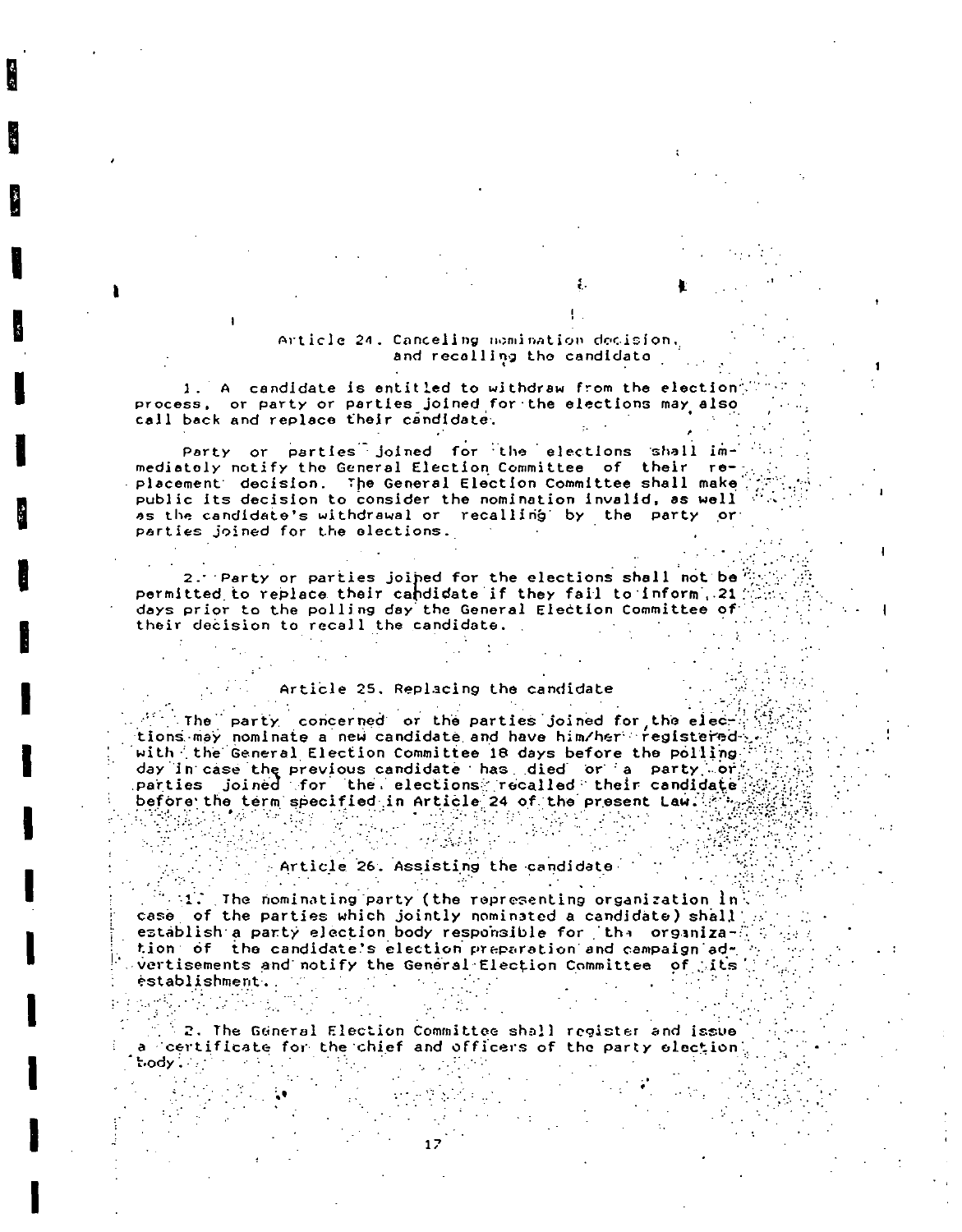#### Article 24. Canceling nomination decision. and recalling the candidate

1. A candidate is entitled to withdraw from the election process, or party or parties joined for the elections may also call back and replace their candidate.

Party or parties joined for the elections shall immediately notify the General Election Committee of their replacement decision. The General Election Committee shall make public its decision to consider the nomination invalid, as well as the candidate's withdrawal or recalling by the party or parties joined for the elections.

2. Party or parties joined for the elections shall not be" permitted to replace their candidate if they fail to inform, 21) days prior to the polling day the General Election Committee of their decision to recall the candidate.

#### Article 25. Replacing the candidate

The party concerned or the parties joined for the elections may nominate a new candidate and have him/her registered with the General Election Committee 18 days before the polling day in case the previous candidate has died or a party or parties joined for the elections recalled their candidate before the term specified in Article 24 of the present Law.  $\frac{1}{2} \frac{1}{2} \frac{1}{2} \frac{1}{2} \frac{1}{2} \frac{1}{2} \frac{1}{2} \frac{1}{2} \frac{1}{2} \frac{1}{2} \frac{1}{2} \frac{1}{2} \frac{1}{2} \frac{1}{2} \frac{1}{2} \frac{1}{2} \frac{1}{2} \frac{1}{2} \frac{1}{2} \frac{1}{2} \frac{1}{2} \frac{1}{2} \frac{1}{2} \frac{1}{2} \frac{1}{2} \frac{1}{2} \frac{1}{2} \frac{1}{2} \frac{1}{2} \frac{1}{2} \frac{1}{2} \frac{$ 한글도 데 개  $\label{eq:3.1} \frac{\partial \mathcal{L}_{\mathcal{A}}}{\partial \mathcal{L}_{\mathcal{A}}}\frac{\partial \mathcal{L}_{\mathcal{A}}}{\partial \mathcal{L}_{\mathcal{A}}}\frac{\partial \mathcal{L}_{\mathcal{A}}}{\partial \mathcal{L}_{\mathcal{A}}}\frac{\partial \mathcal{L}_{\mathcal{A}}}{\partial \mathcal{L}_{\mathcal{A}}}\frac{\partial \mathcal{L}_{\mathcal{A}}}{\partial \mathcal{L}_{\mathcal{A}}}\frac{\partial \mathcal{L}_{\mathcal{A}}}{\partial \mathcal{L}_{\mathcal{A}}}\frac{\partial \mathcal{L}_{\mathcal{A}}}{\partial \mathcal{L}_{$ a sa B parties.<br>Personalité de la proposa

### Article 26. Assisting the candidate

 $\alpha$  and  $\alpha$ 

 $\mathcal{I}(\mathcal{P})$  . Also, we have

 $\sim 1.5$ The nominating party (the representing organization  $\ln \frac{1}{2}$ case of the parties which jointly nominated a candidate) shall establish a party election body responsible for the organization of the candidate's election preparation and campaign advertisements and notify the General Election Committee of Lits establishment.

 $\mathbb{R}^3$  2. The General Election Committee shall register and issue a certificate for the chief and officers of the party election

 $\mathcal{L}_{\text{max}}$ 

 $\mathsf{body}$  ,  $\cdots$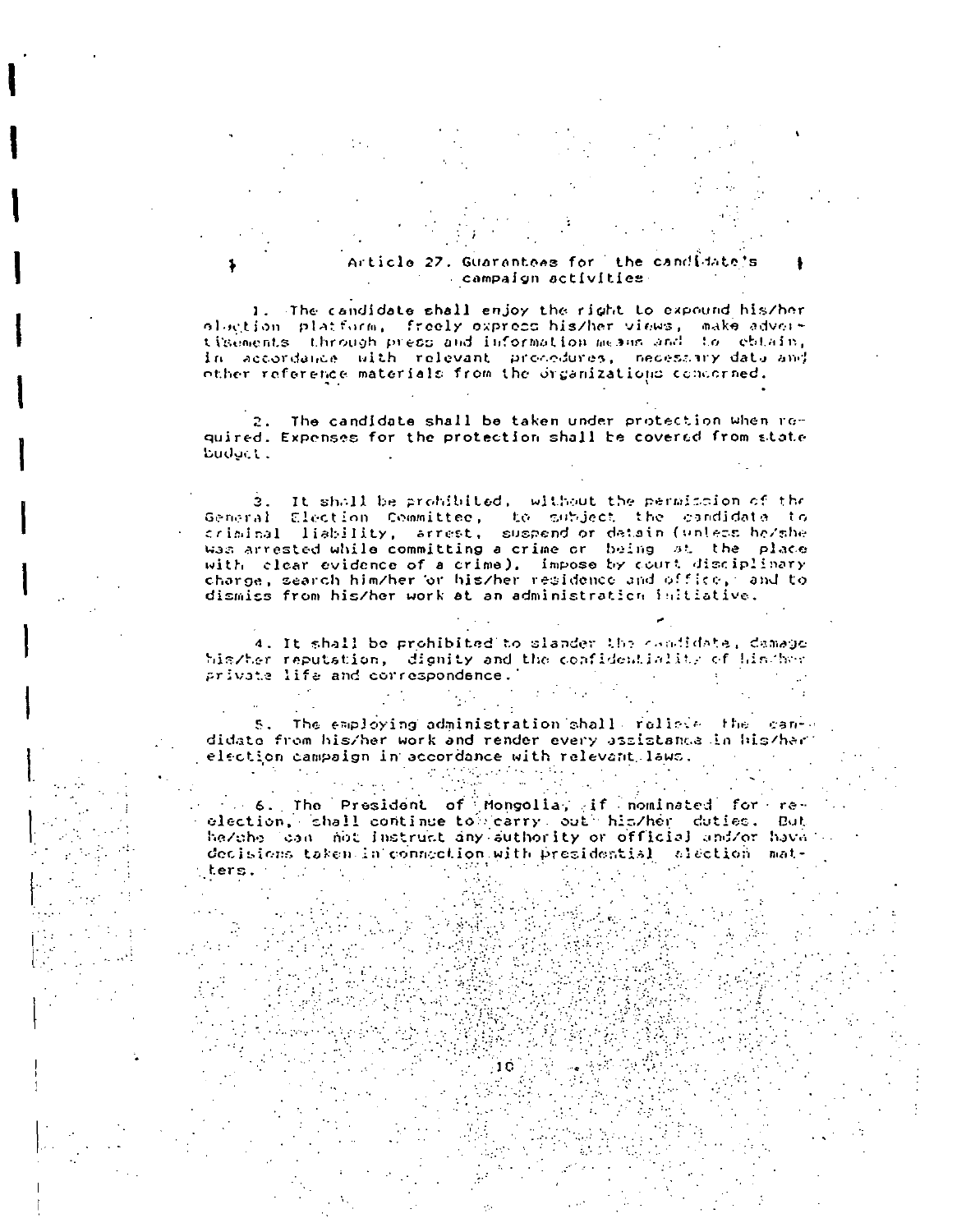#### Article 27. Guarantees for the candidate's campaign activities

1. The candidate shall enjoy the right to expound his/her ologtion platform, freely express his/her views, make adver-<br>tisements through press and information mesus and to ebtain, in accordance with relevant procedures, necessary data and<br>other reference materials from the organizations concorned.

2. The candidate shall be taken under protection when roquired. Expenses for the protection shall be covered from state budget.

3. It shall be prohibited, without the permission of the General Election Committee, to subject the candidata to<br>criminal liability, arrest, suspend or datain (unless he/she was arrested while committing a crime or being st the place with clear evidence of a crime), impose by court disciplinary charge, search him/her or his/her residence and office, and to dismiss from his/her work at an administration initiative.

4. It shall be prohibited to slander the condidate, damage his/ter reputation, dignity and the confidentiality of his/horprivate life and correspondence.

5. The employing administration shall relieve the can-didate from his/her work and render every assistance in his/her election campaign in accordance with relevant laws. 

6. The President of Mongolia, if nominated for reelection, shall continue to carry out his/her duties. But he/che can not instruct any suthority or official and/or have decisions taken in connection with presidential alection mat- $\sim 10^{10}$ ters. The contract of

 $\frac{10}{\pi}\left(\frac{1}{8}\right)^{1/2}$ 

 $\mathcal{L}^{\text{max}}_{\text{max}}$ 

**Controller** 

 $\mathcal{L}_{\rm{max}}$  , where  $\mathcal{L}_{\rm{max}}$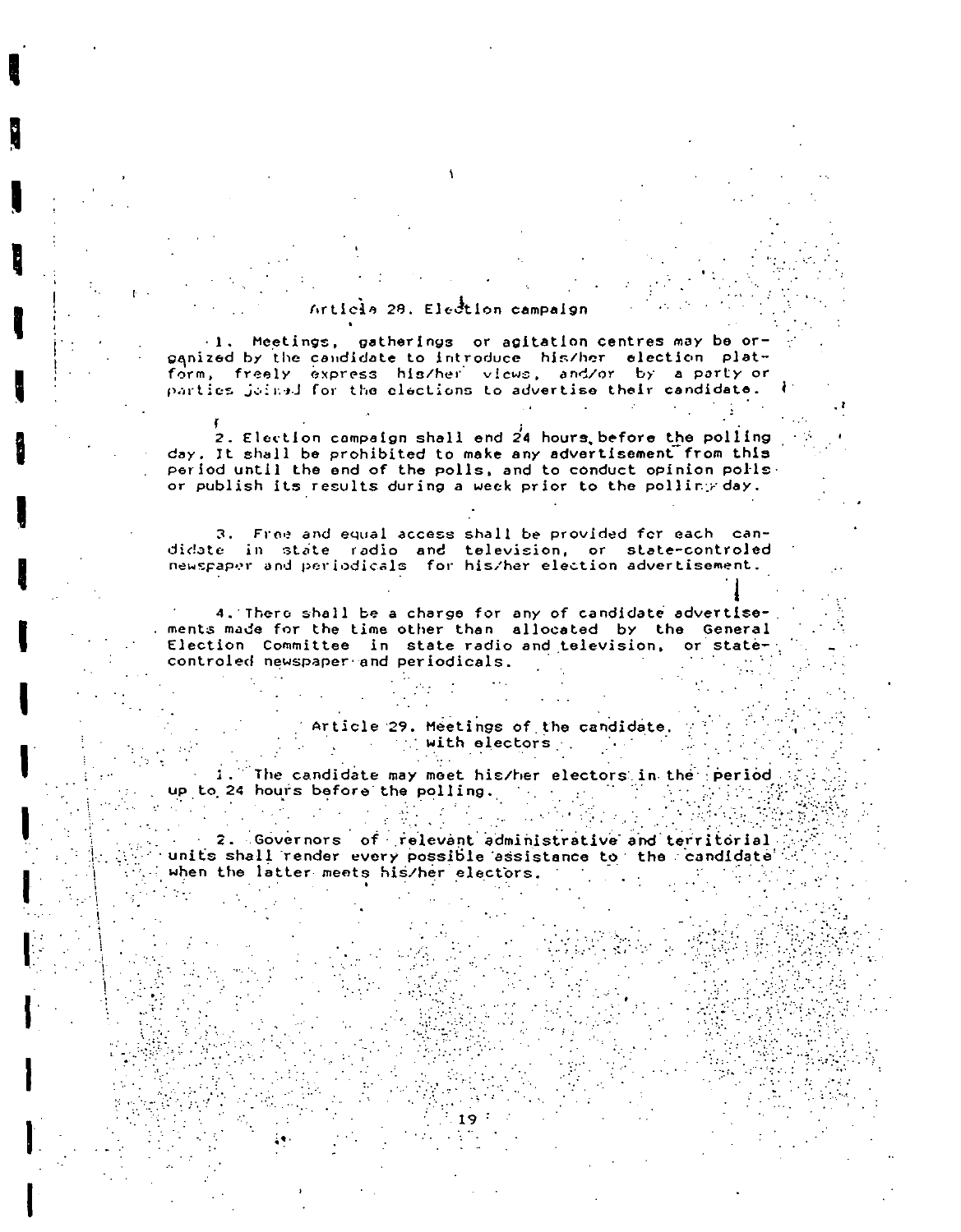### Article 28. Election campaign

.1. Meetings, gatherings or agitation centres may be orpanized by the candidate to introduce his/her election plat-<br>form, freely express his/her views, and/or by a party or parties joined for the elections to advertise their candidate.

2. Election campaign shall end  $24$  hours before the polling day. It shall be prohibited to make any advertisement from this period until the end of the polls, and to conduct opinion polls. or publish its results during a week prior to the polling day.

3. Free and equal access shall be provided for each candidate in state radio and television, or state-controled<br>newspaper and periodicals for his/her election advertisement.

4. There shall be a charge for any of candidate advertisements made for the time other than allocated by the General Election Committee in state radio and television, or statecontroled newspaper and periodicals.

> Article 29. Meetings of the candidate. with electors .  $\sim 10^6$  $\sim 100$

1. The candidate may meet his/her electors in the period up to 24 hours before the polling.  $\mathcal{L}_{\text{max}}$  and  $\mathcal{L}_{\text{max}}$ 

2. Governors of relevant administrative and territorial units shall render every possible assistance to the candidate when the latter meets his/her electors.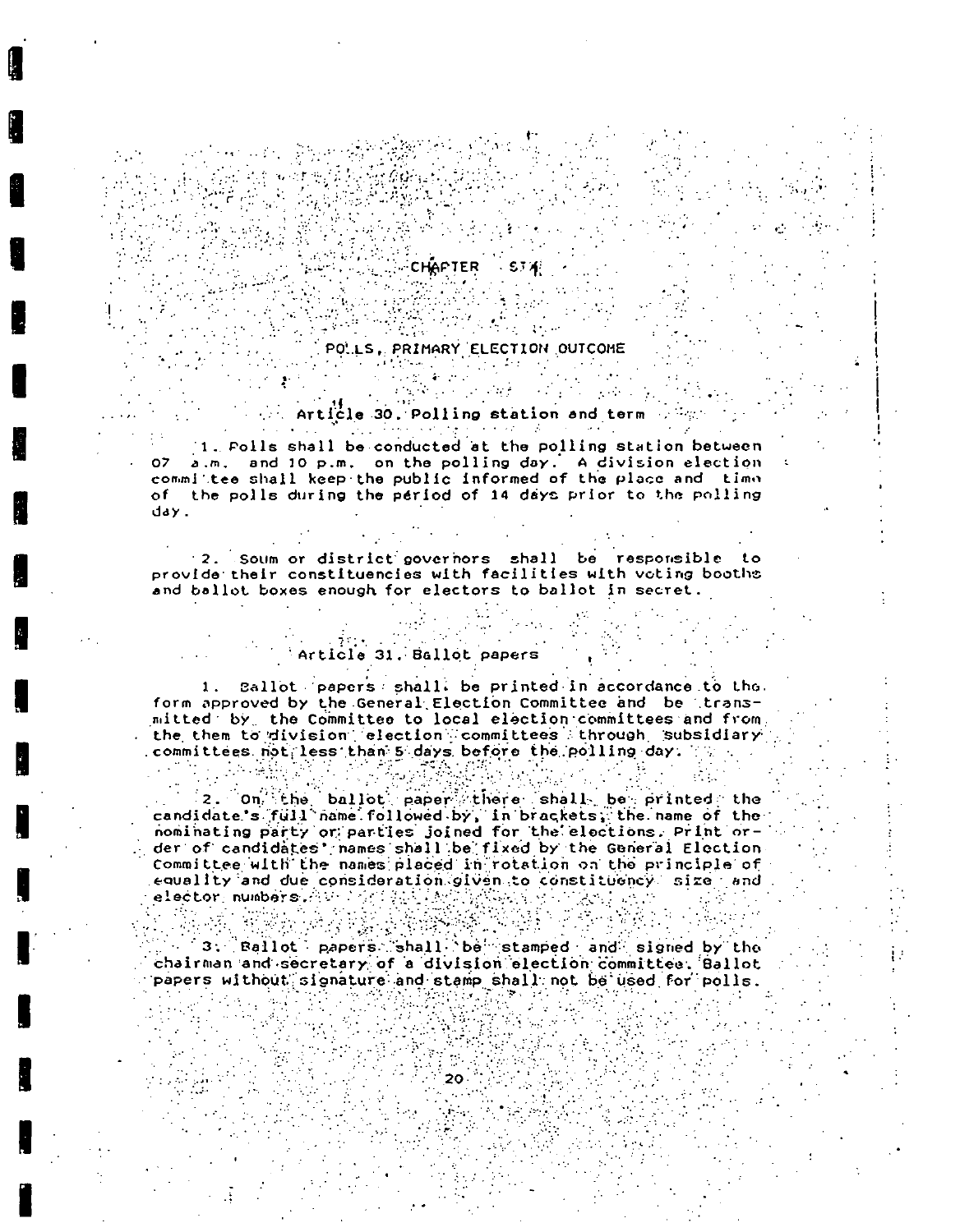CHAPTER STA  $\mathcal{L}_{\text{max}}$  and  $\mathcal{L}_{\text{max}}$ 

 $\mathcal{L}_{\text{max}}$  ,  $\mathcal{L}_{\text{max}}$ 

### POLLS, PRIMARY ELECTION OUTCOME F <del>경화되</del>는 아이는 왜 많은 나는 것

. Article 30, Polling station and term  $\mathbb{R}^m$ 

Anglie (1985) (1986) (1986) (1986)<br>Politika (1986) (1986) (1986) (1986)

1. Folls shall be conducted at the polling station between a.m. and 10 p.m. on the polling day. A division election  $07<sup>2</sup>$ commilitee shall keep the public informed of the place and time of the polls during the period of 14 days prior to the polling day.

2. Soum or district governors shall be responsible to provide their constituencies with facilities with voting booths and ballot boxes enough for electors to ballot in secret.

### Article 31. Ballot papers

1. Sallot papers shall, be printed in accordance to the. form approved by the General Election Committee and be transmitted by the Committee to local election committees and from the them to division election committees through subsidiary committees not less than 5 days before the polling day. The

2. On the ballot paper there shall be printed the candidate's full name followed by, in brackets, the name of the nominating party or parties joined for the elections. Print order of candidates' names shall be fixed by the General Election Committee with the names placed in rotation on the principle of equality and due consideration given to constituency size and elector, numbers. Avenue ( ) and ( ) ( ) ( ) ( ) ( ) ( ) ) (

3. Ballot papers shall be stamped and signed by the chairman and secretary of a division election committee. Ballot papers without signature and stamp shall not be used for polis.

 $20 -$ 

 $\mathcal{L}(\mathbf{y}) = \mathbf{y} \mathbf{y} + \mathbf{y}$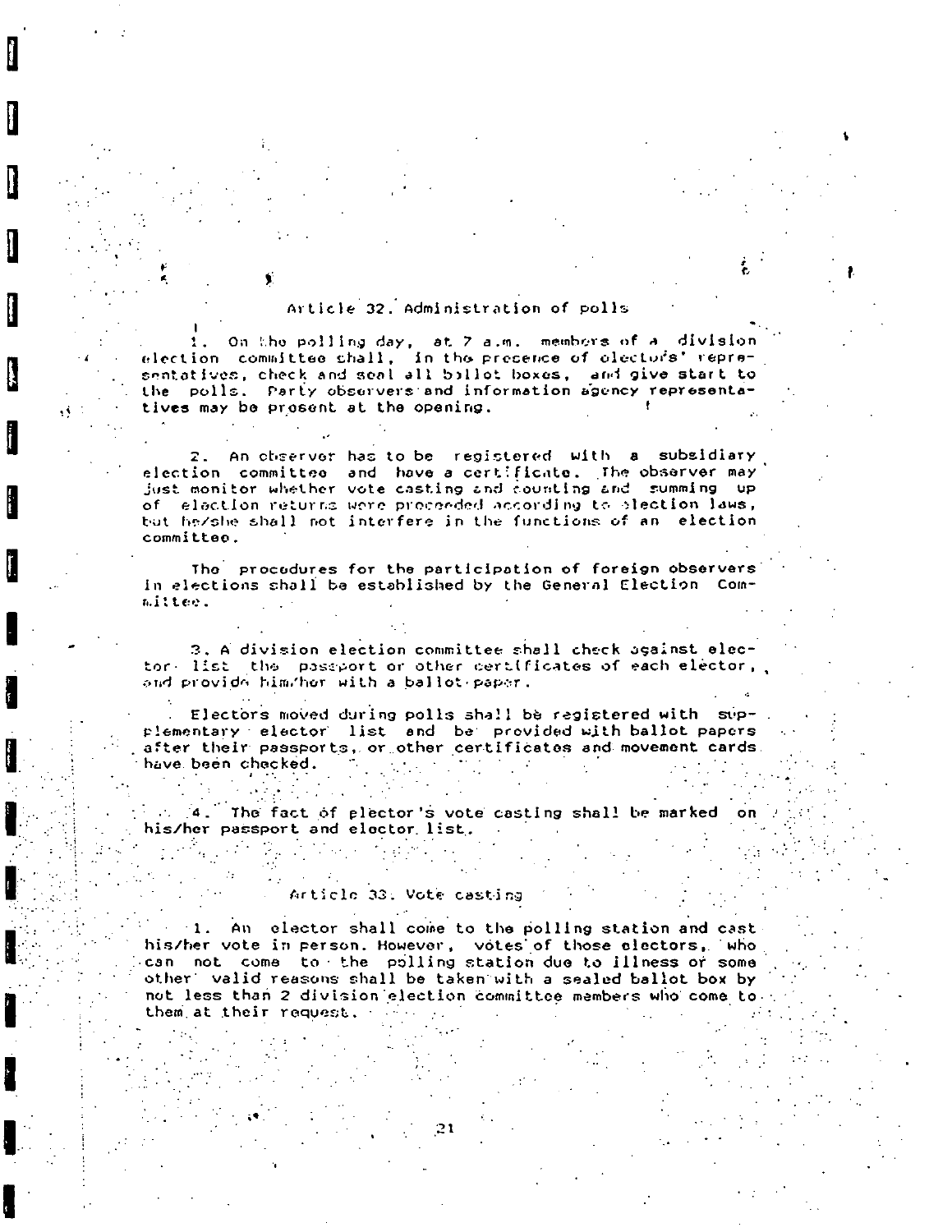### Article 32 Administration of polls

On the polling day, at 7 a.m. members of a division election committee shall, in the presence of electors' representatives, check and seal all billot boxes, and give start to the polls. Party observers and information agency representatives may be prosent at the opening.

٩Ň

2. An observor has to be registered with a subsidiary election committee and have a certificate. The observer may just monitor whether vote casting and counting and summing up of election returns were proceeded according to slection laws, but he/she shall not interfere in the functions of an election committee.

The procedures for the participation of foreign observers in elections shall be established by the General Election Committee.

3. A division election committee shall check against elector. list the passport or other certificates of each elector, and provide him/her with a ballot paper.

. Electors moved during polls shall be registered with supplementary elector list and be provided with ballot papers after their passports, or other certificates and movement cards. have been checked.  $\mathcal{A}_1$  , and  $\mathcal{A}_2$  , and  $\mathcal{A}_3$ **Contract** 

2. 4. The fact of plector's vote casting shall be marked  $\Omega$ his/her passport and elector list.

#### Article 33: Vote casting

1. An elector shall come to the polling station and cast his/her vote in person. However, votes of those electors, who can not come to the polling station due to illness or some other valid reasons shall be taken with a sealed ballot box by not less than 2 division election committee members who come to. them at their request.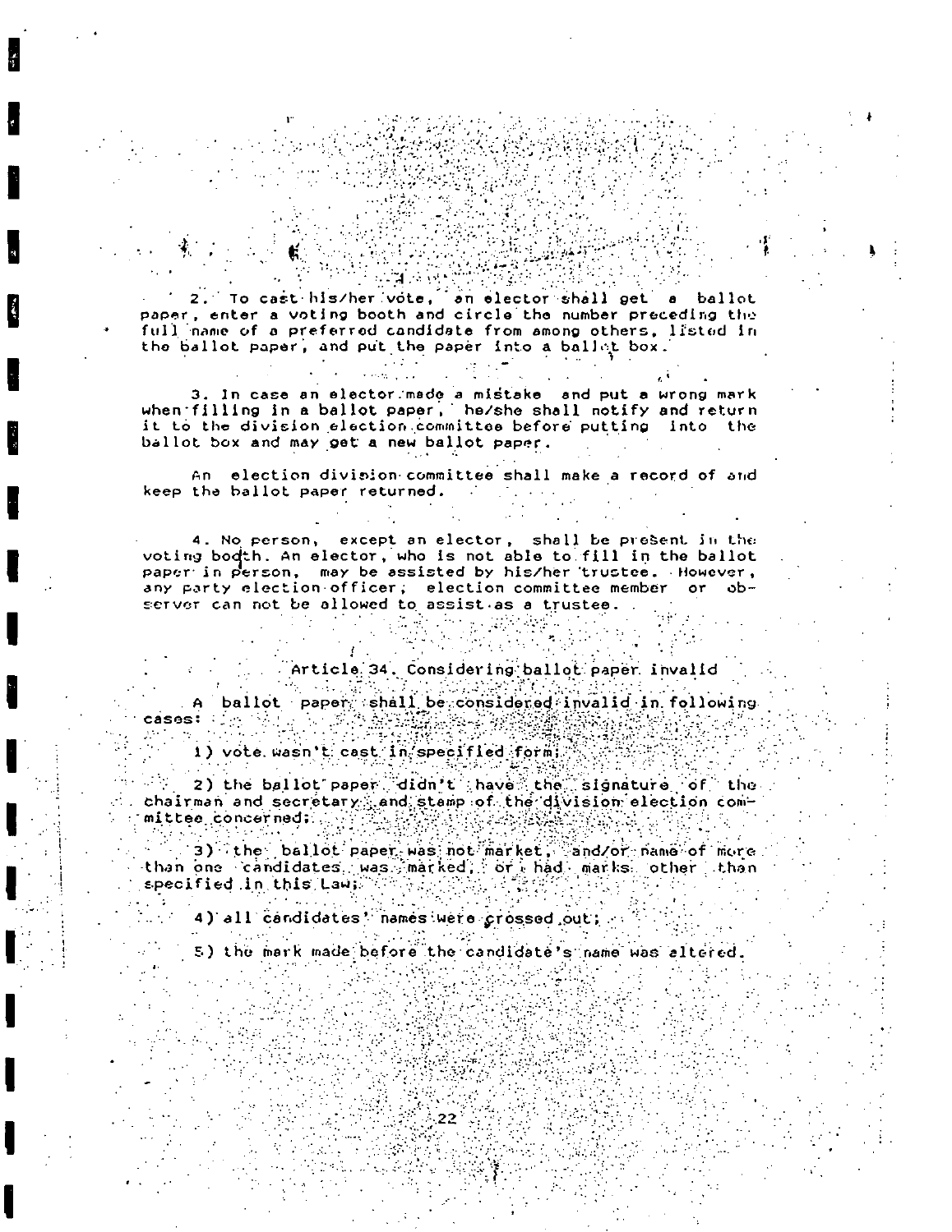2. To cast his/her vote, an elector shall get a ballot paper, enter a voting booth and circle the number preceding the full name of a preferred candidate from among others, listed in the ballot paper, and put the paper into a ballet box.

3. In case an elector made a mistake and put a wrong mark<br>when filling in a ballot paper, he/she shall notify and return it to the division election committee before putting into the ballot box and may get a new ballot paper.

An election division committee shall make a record of and keep the ballot paper returned.

4. No person, except an elector, shall be present in the voting bodth. An elector, who is not able to fill in the ballot paper in person, may be assisted by his/her trustee. However, any party election officer; election committee member or observer can not be allowed to assist as a trustee.

 $\sim 10^{11}$  m

Article 34. Considering ballot paper invalid

A ballot paper shall be considered invalid in following cases:

1) vote wasn't cast in specified form;

2) the ballot paper didn't have the signature of the chairman and secretary and stamp of the division election committee concerned:

3) the ballot paper was not market, and/or name of more than one candidates was marked, or had marks other than specified in this Law:

4) all candidates' names were crossed out;

5) the mark made before the candidate's name was altered.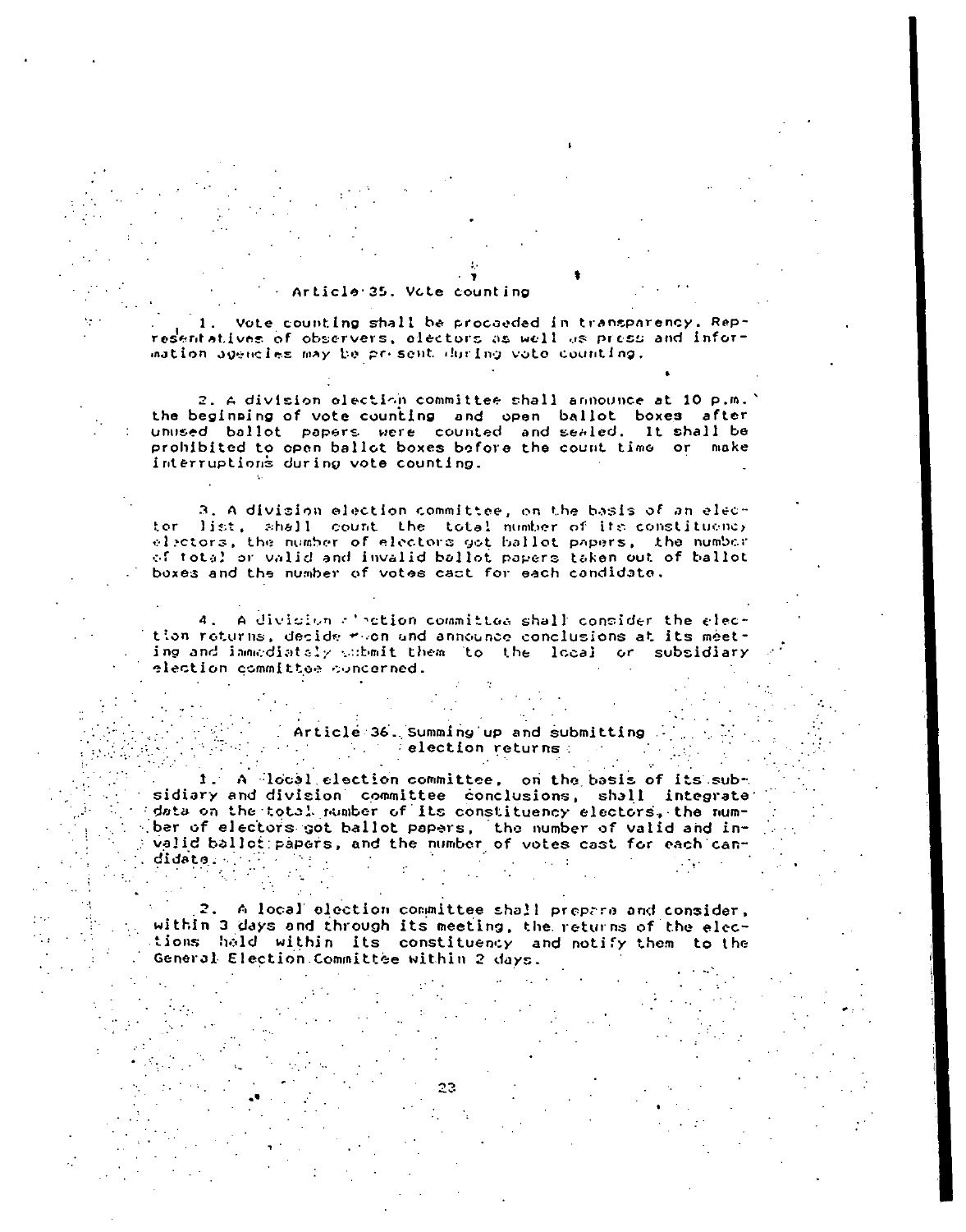#### Article 35, Vote counting

Vote counting shall be procaeded in transparency. Representatives of observers, electors as well as press and information agencies may be present during voto counting,

2. A division election committee shall announce at 10 p.m. the beginning of vote counting and open ballot boxes after unused ballot papers were counted and sealed. It shall be prohibited to open ballot boxes before the count time or make interruptions during vote counting.

3. A division election committee, on the basis of an elector list, shall count the total number of its constituency electors, the number of electors got ballot papers, the number of total or valid and invalid ballot papers taken out of ballot boxes and the number of votes cast for each candidate.

4. A division albetion committee shall consider the election returns, decide room and announce conclusions at its meeting and immediately submit them (to the local or subsidiary election committee concerned.

#### Article 36. Summing up and submitting and the selection returns and  $\sim 100$

1. A local election committee, on the basis of its subsidiary and division committee conclusions, shall integrate data on the total number of its constituency electors, the number of electors got ballot papers, the number of valid and invalid ballet papers, and the number of votes cast for each can- $\frac{1}{2}$  $\texttt{didato}: \quad \Box$  $\sim 10^{-1}$  M  $_{\odot}$ 

2. A local election committee shall prepare and consider, within 3 days and through its meeting, the returns of the elections hald within its constituency and notify them to the General Election Committee within 2 days.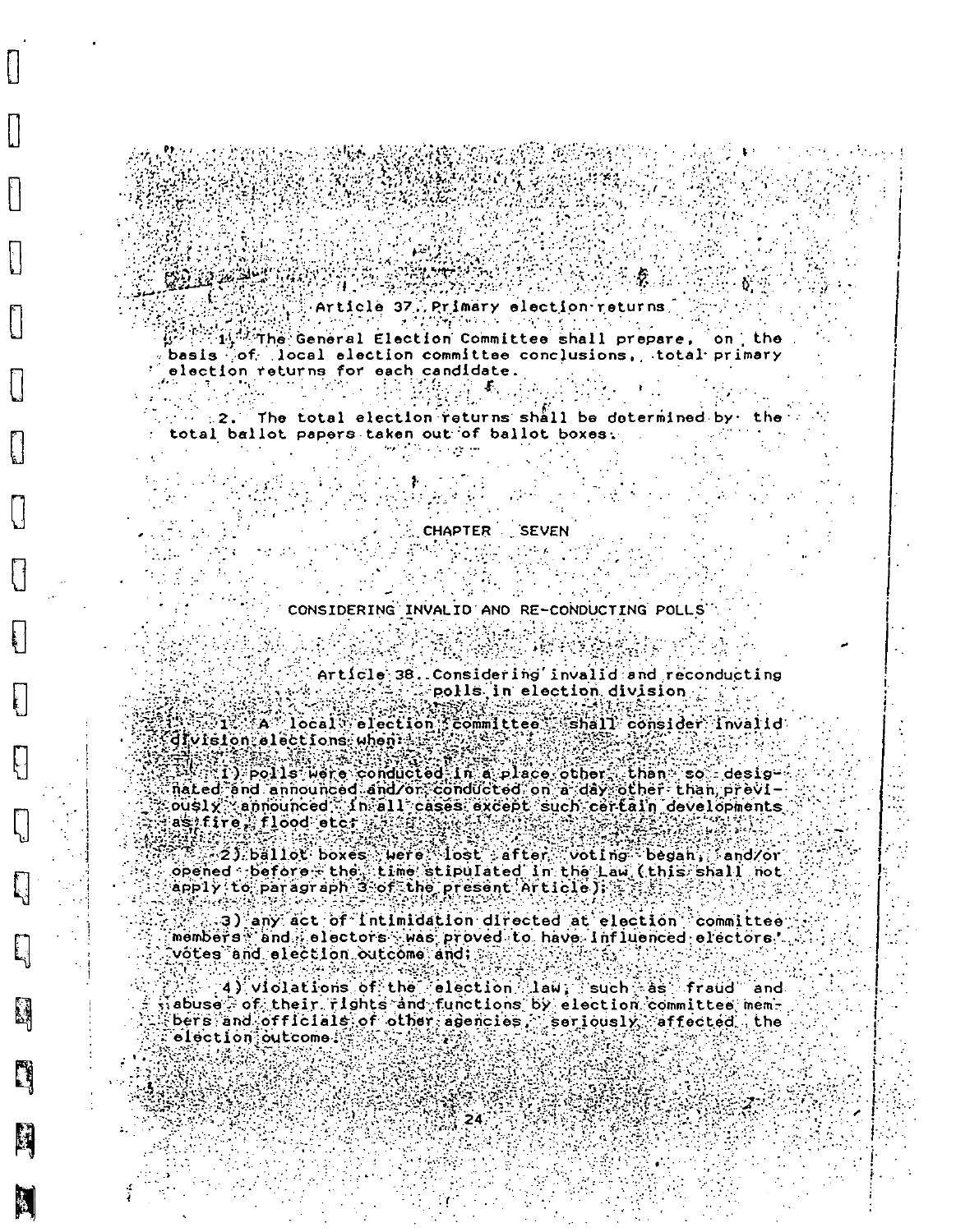Article 37% Primary election returns  $\mathbb{R}^{\mathbb{Z}}$ l $\mathbb{R}^{\mathbb{Z}}$ The General Election Committee shall prepare, on the  $\mathbb{R}$ basis of local election committee conclusions, total primary election returns for each candidate.

 $\sim$  2. The total election returns shall be determined by the total ballot papers taken out of ballot boxes.

CHAPTER SEVEN

 $\mathcal{L}^{\mathcal{L}}(\mathcal{L}^{\mathcal{L}})$  ,  $\mathcal{L}^{\mathcal{L}}(\mathcal{L}^{\mathcal{L}})$ 

CONSIDERING INVALID AND RE-CONDUCTING POLLS" 

 $Art[c]e; 38.$  Considering invalid and reconducting polls in election division

rt Grie Install

A local election committee shall consider invalid division alections when:

(1) polls were conducted in a place other, than so designated and announced and/or conducted on a day other than, prev1- $\text{o}$ usl $\chi$  announced  $\sim$  h all cases except such certain developments. 

2) 2) ballot boxes were lost after voting began, and/or<br>opened before the time stipulated in the Law (this shall not  $\mathsf{app1y}$  to paragraph 3 of the present Article):  $\mathcal{L}_{\mathcal{B}}$ 

3) any act of Intimidation directed at election committee members and alectors was proved to have influenced electors. votes and election outcome and:

4) violations of the election law; such as fraud and  $\mathbf{S}_i$  abuse  $\odot$  of their  $\mathbf{r}_i$  ghts and functions by election committee members and officials of other adencies, seriously affected the election outcome

麟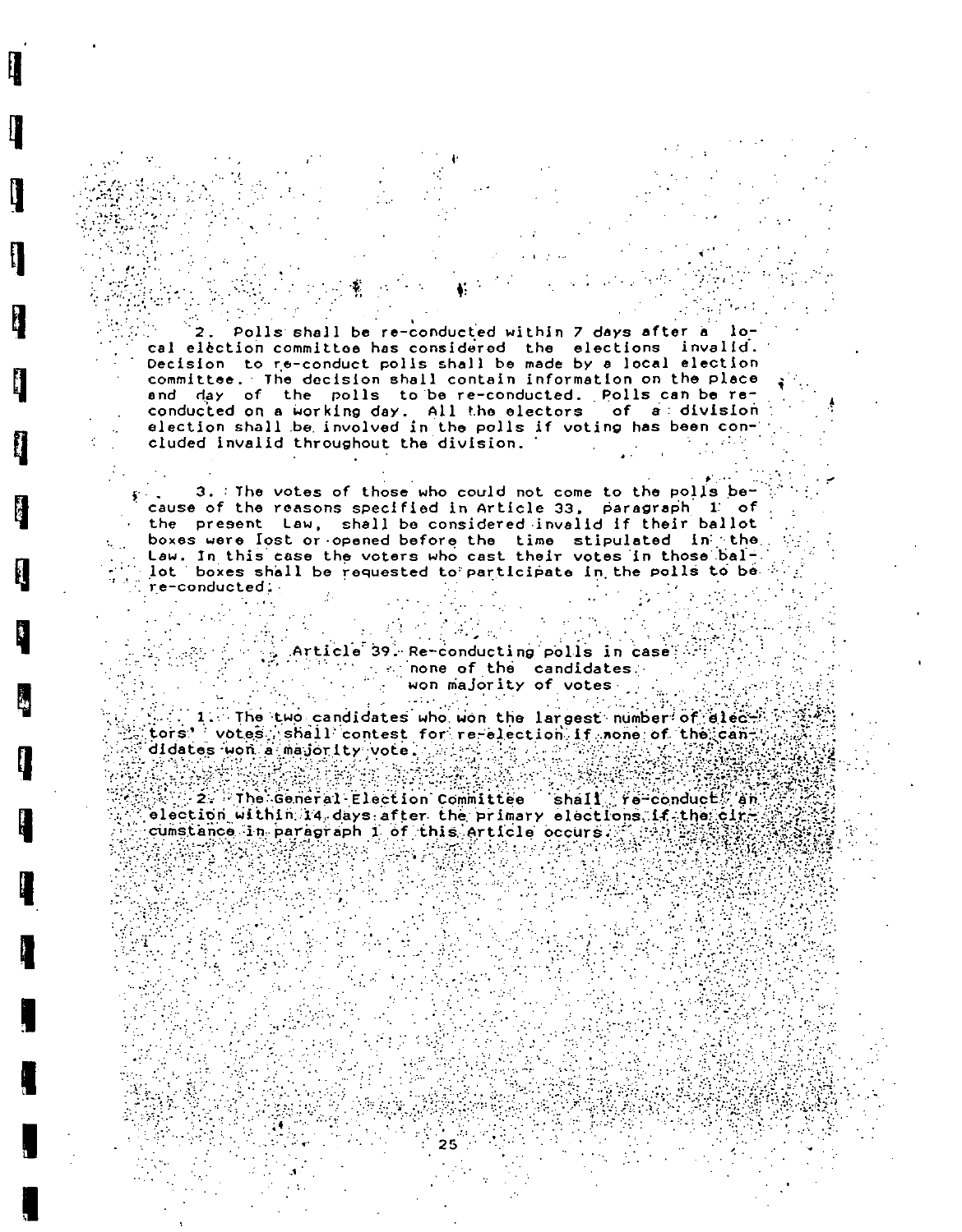Polls shall be re-conducted within 7 days after a cal election committee has considered the elections invalid.<br>Decision to re-conduct polis shall be made by a local election committee. The decision shall contain information on the place and day of the polls to be re-conducted. Polls can be reconducted on a working day. All the electors of a division election shall be involved in the polls if voting has been con-" cluded invalid throughout the division.  $\mathcal{L}^{\mathcal{L}}(\mathcal{L}^{\mathcal{L}})$  and  $\mathcal{L}^{\mathcal{L}}(\mathcal{L}^{\mathcal{L}})$ 

3. The votes of those who could not come to the polls because of the reasons specified in Article 33, paragraph 1: of the present Law, shall be considered invalid if their ballot boxes were lost or opened before the time stipulated in the. Law. In this case the voters who cast their votes in those ballot boxes shall be requested to participate in the polls to be  $\phi$ re-conducted.

> Article 39. Re-conducting polls in case  $\mathbb{R}^n$  is a none of the candidates. won majority of votes

 $\mathcal{F}^{\pm}$  ,  $\mathcal{F}^{\pm}$  ,

1. The two candidates who won the largest number of elect. tors' votes shall contest for re-election if none of the candidates won a majority vote: with a significant

 $\sim 10$ 

 $\alpha$  and  $\alpha$  and  $\alpha$ 

2. The General Election Committee shall fe conduct, an election within 14 days after the primary elections if the circle cumstance in paragraph 1 of this article occurs  $\mathbb{Z} \setminus \mathbb{Z}$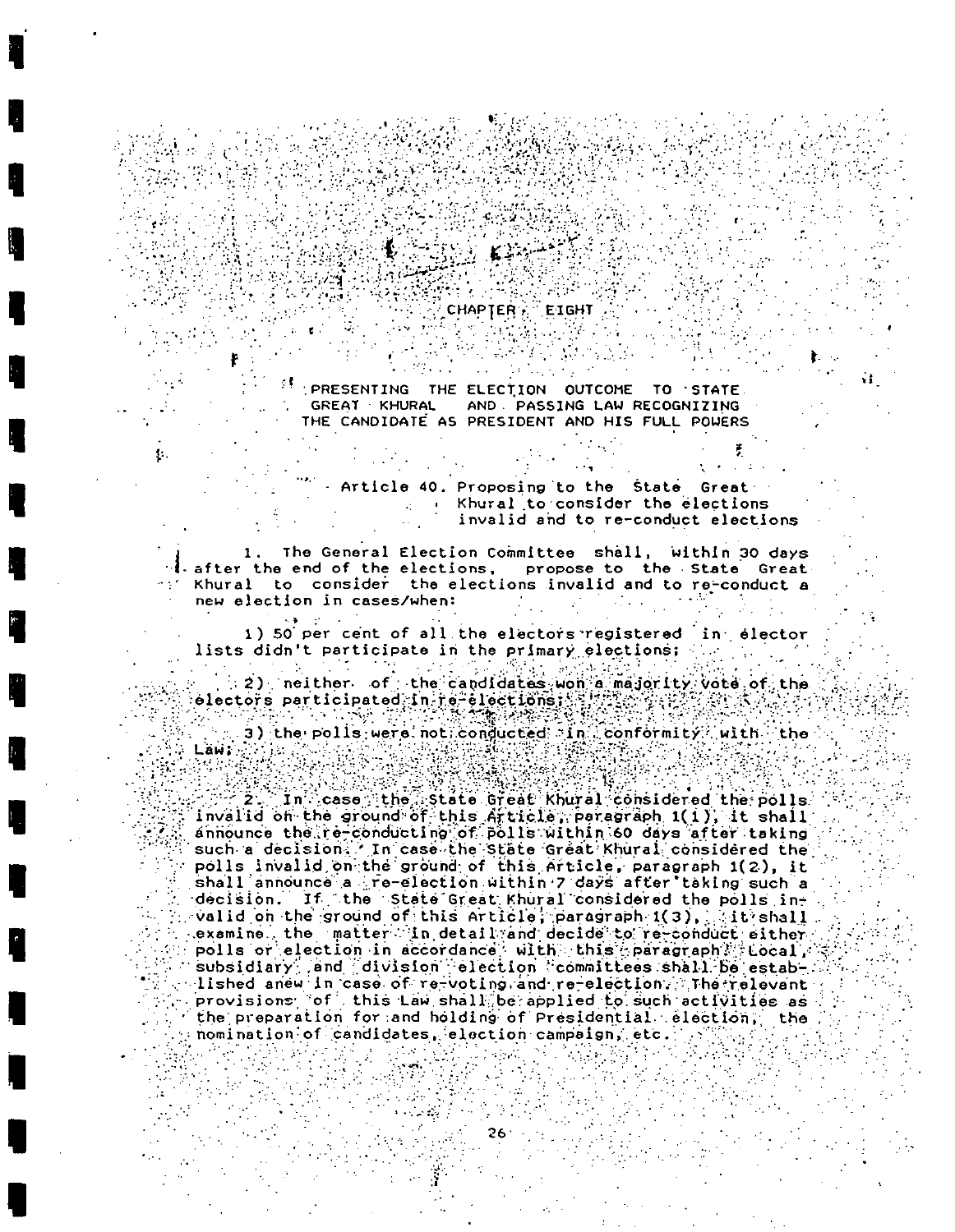#### $\%$  CHAPTER  $\%$  $ETGHT$  .

PRESENTING THE ELECTION OUTCOME TO STATE. GREAT KHURAL AND PASSING LAW RECOGNIZING THE CANDIDATE AS PRESIDENT AND HIS FULL POWERS

> Article 40. Proposing to the State Great Khural to consider the elections invalid and to re-conduct elections

 $\mathcal{L}^{\text{max}}_{\text{max}}$ 

 $\sim 10^7$ 

1. The General Election Committee shall, within 30 days I after the end of the elections, propose to the State Great Khural to consider the elections invalid and to re-conduct a new election in cases/when:  $\label{eq:2.1} \mathcal{L}(\mathcal{L}^{\mathcal{L}}_{\mathcal{L}}(\mathcal{L}^{\mathcal{L}}_{\mathcal{L}})) = \mathcal{L}(\mathcal{L}^{\mathcal{L}}_{\mathcal{L}}(\mathcal{L}^{\mathcal{L}}_{\mathcal{L}})) = \mathcal{L}(\mathcal{L}^{\mathcal{L}}_{\mathcal{L}}(\mathcal{L}^{\mathcal{L}}_{\mathcal{L}}))$ 

1) 50 per cent of all the electors registered in elector lists didn't participate in the primary elections;  $\mathcal{F}_{\mathcal{G}}$  ,  $\mathcal{F}_{\mathcal{G}}$ 

2) neither of the candidates won a majority vote of the 

3) the polis were not conducted in conformity with the Läw: 2008年10月 SI.

**EVALUATE STATE STATE STATE STATE STATE STATE STATE STATE STATE STATE STATE STATE STATE STATE STATE STATE STATE** Invalid on the ground of this Article, perserabh 1(1), it shall announce the re-conducting of polls within 60 days after taking such a decision. In case the State Great Khural considered the polls invalid on the ground of this Article, paragraph 1(2), it shall announce a re-election within 7 days after taking such a decision. If the state Great Khural considered the polls invalid on the ground of this Article, paragraph 1(3), tit shall examine the matter in detail and decide to re-conduct either polls or election in accordance with this paragraph? tocal, subsidiary , and division election committees shall be estab-. provisions of this Law shall be applied to such activities as the preparation for and holding of Presidential election, the nomination of candidates, election campaign, etc. أجبا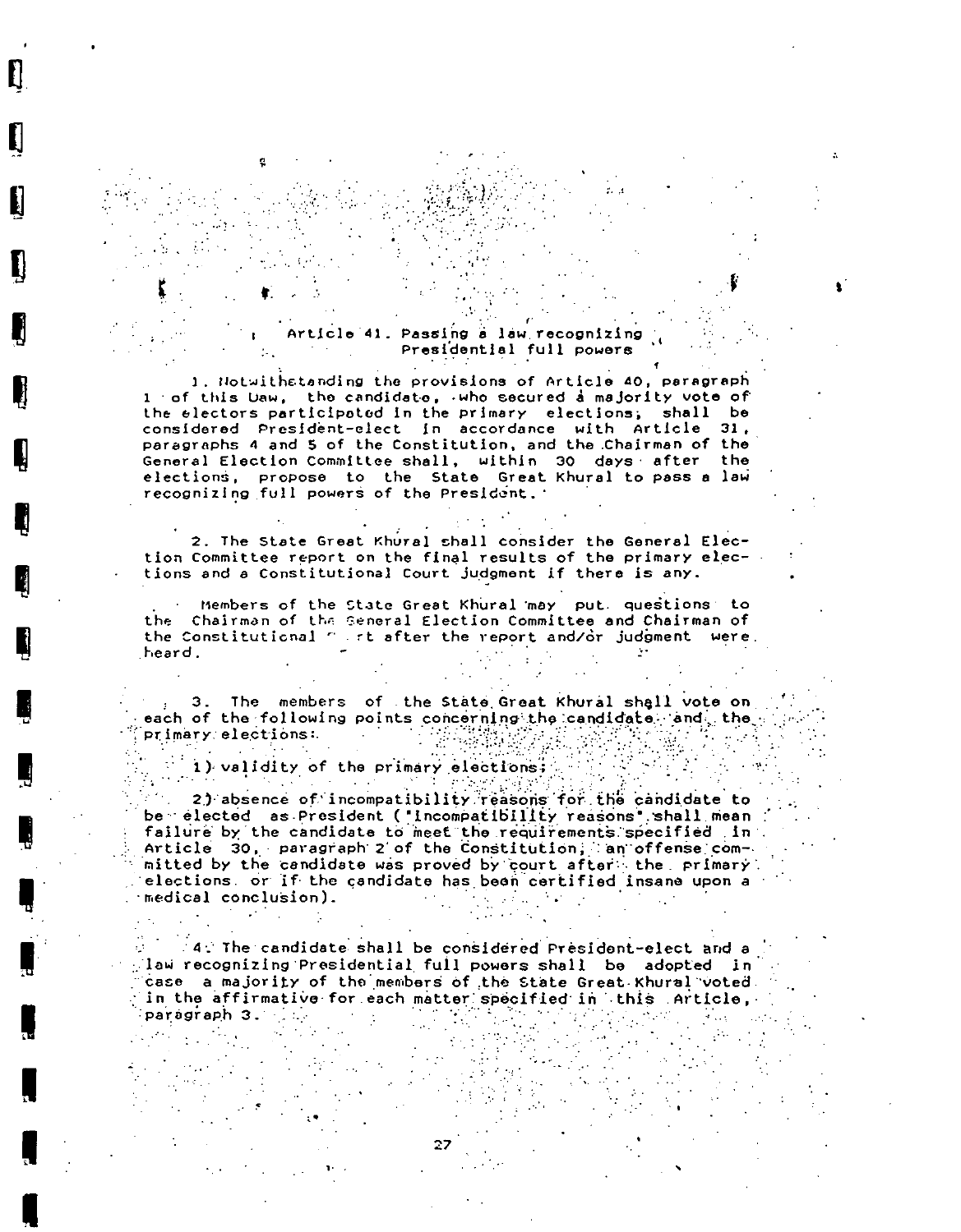#### Article 41. Passing a law recognizing  $\mathcal{O}(\mathcal{O}(10^6))$  . The  $\mathcal{O}(\mathcal{O}(10^6))$ Presidential full powers

1. Notwithstanding the provisions of Article 40, paragraph 1 of this Daw, the candidate, who secured a majority vote of the electors participated in the primary elections; shall be considered President-elect in accordance with Article 31. paragraphs 4 and 5 of the Constitution, and the Chairman of the General Election Committee shall, within 30 days after the elections, propose to the State Great Khural to pass a law recognizing full powers of the President.

2. The State Great Khural shall consider the General Election Committee report on the final results of the primary elections and a Constitutional Court judgment if there is any.

Members of the State Great Khural may put. questions to the Chairman of the Seneral Election Committee and Chairman of the Constitutional " . rt after the report and/or judgment were. heard.

3. The members of the State Great Khural shall vote on each of the following points concerning the candidate and the ary elections:<br>1) validity of the primary elections:  $\mathcal{L} = \mathcal{L}$ primary elections:  $\mathcal{L}(\mathcal{L})$ 

 $\sim$   $\sim$ 

I

2) absence of incompatibility reasons for the candidate to be elected as President ("Incompatibility reasons" shall mean failure by the candidate to meet the requirements specified in. Article 30, paragraph 2 of the Constitution; an offense committed by the candidate was proved by court after the primary. elections or if the candidate has been certified insane upon a medical conclusion).  $\mathcal{O}(\log n)$  and  $\mathcal{O}(\log n)$  .

14. The candidate shall be considered President-elect and a  $\mathbb{R}$ law recognizing Presidential full powers shall be adopted in case a majority of the members of the State Great Khural voted. in the affirmative for each matter specified in this Article. paragraph 3. Sales and the sea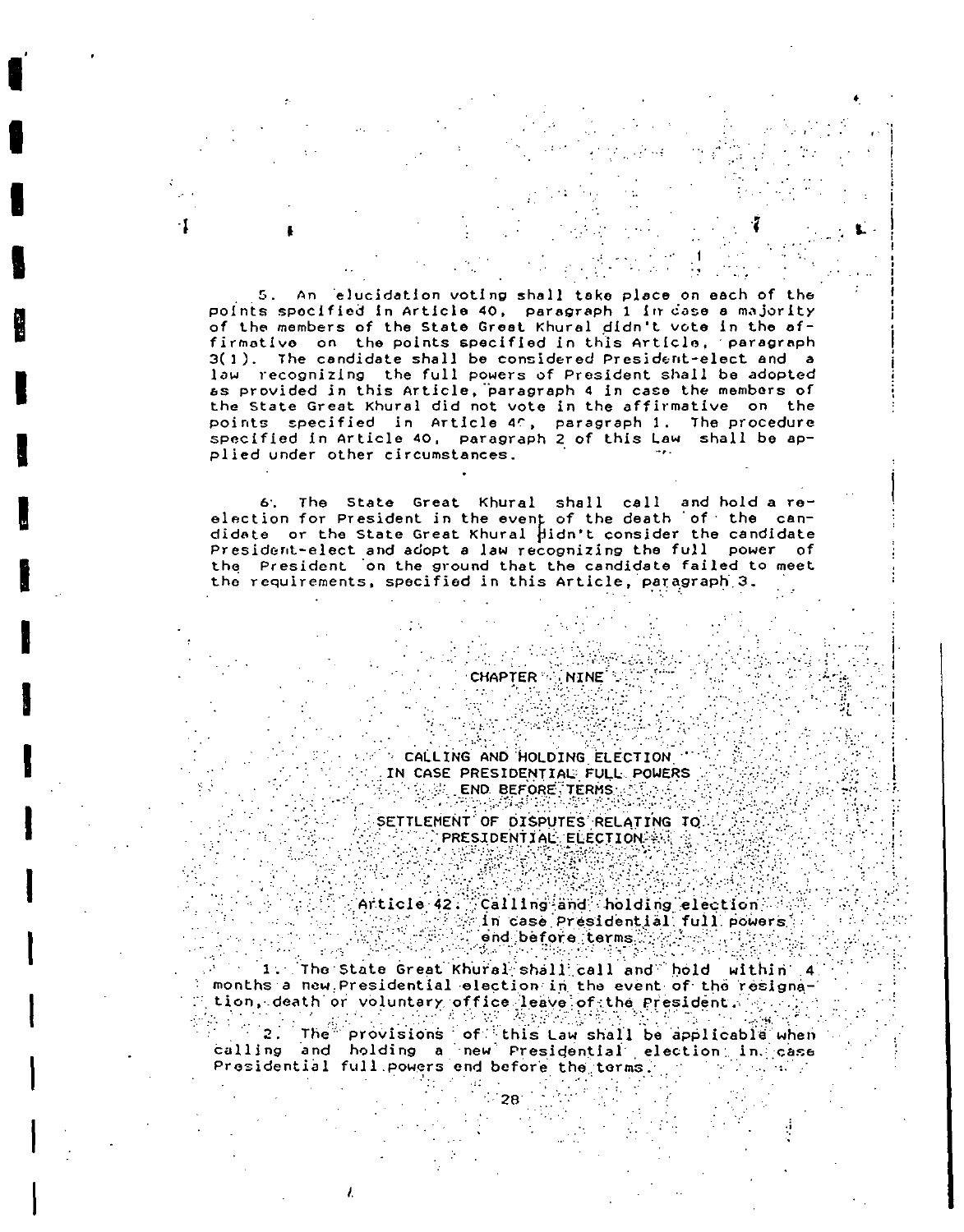5. An elucidation voting shall take place on each of the points specified in Article 40, paragraph 1 in dase a majority of the members of the State Great Khural didn't vote in the affirmative on the points specified in this Article, paragraph 3(1). The candidate shall be considered President-elect and a law recognizing the full powers of President shall be adopted as provided in this Article, paragraph 4 in case the members of the State Great Khural did not vote in the affirmative on the points specified in Article 40, paragraph 1. The procedure specified in Article 40, paragraph 2 of this Law shall be applied under other circumstances.

6. The State Great Khural shall call and hold a re-<br>election for President in the event of the death of the can-<br>didate or the State Great Khural pidn't consider the candidate President-elect and adopt a law recognizing the full power of the President on the ground that the candidate failed to meet the requirements, specified in this Article, paragraph 3.

 $\sim 10$ 

**CHAPTER WINE** 

CALLING AND HOLDING ELECTION " IN CASE PRESIDENTIAL FULL POWERS **END BEFORE TERMS CONFID** 

SETTLEMENT OF DISPUTES RELATING TO PRESIDENTIAL ELECTION AND R

Article 42. Calling and holding election নেতৃত্ব শিল্পীয়<br>বৰ্ষৰৰ শিল্পী  $\varepsilon$ in case Presidential full powers  $\varepsilon$ end before terms  $\mathcal{F}_{\mathcal{F}}$ - 한자 연주  $\frac{1}{2}$  ,  $\frac{1}{2}$  ,

 $\frac{1}{2}$ 

1. The State Great Khural shall call and hold within 4 months a new Presidential election in the event of the resignation, death or voluntary office leave of the President. A said

2. The provisions of this Law shall be applicable when<br>calling and holding a new Presidential election in case  $\mathcal{F}^{\mathcal{F}}(\mathbf{2})$  . Presidential full powers end before the terms.